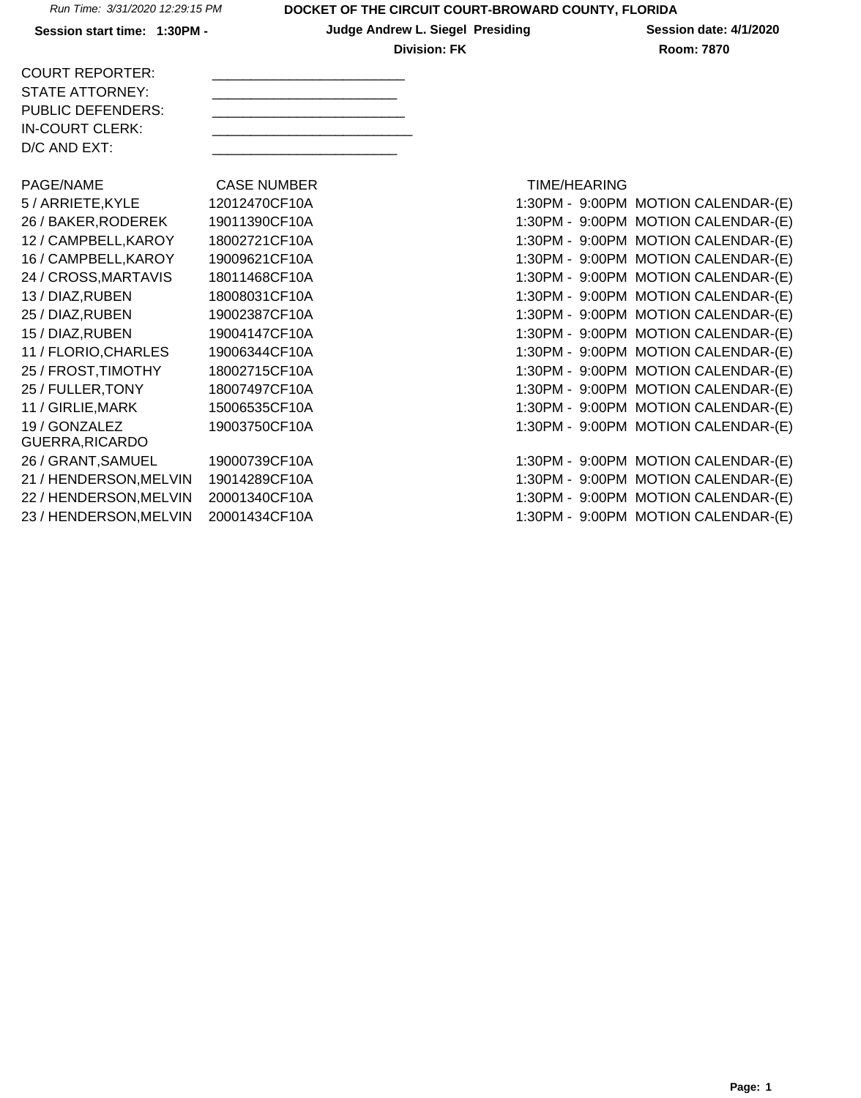Session start time: 1:30PM - **Judge Andrew L. Siegel Presiding** Session date: 4/1/2020 **Division: FK Room: 7870** 

| <b>COURT REPORTER:</b> |  |
|------------------------|--|
| STATE ATTORNEY:        |  |
| PUBLIC DEFENDERS:      |  |
| IN-COURT CLERK:        |  |
| $D/C$ AND $EXT$ :      |  |
|                        |  |

PAGE/NAME CASE NUMBER TIME/HEARING 5 / ARRIETE, KYLE 12012470CF10A 26 / BAKER, RODEREK 19011390CF10A 12 / CAMPBELL, KAROY 18002721 CF10A 16 / CAMPBELL, KAROY 19009621 CF10A 24 / CROSS, MARTAVIS 18011468CF10A 13 / DIAZ, RUBEN 18008031 CF10A 25 / DIAZ, RUBEN 19002387CF10A 15 / DIAZ, RUBEN 19004147CF10A 11 / FLORIO, CHARLES 19006344 CF10A 25 / FROST, TIMOTHY 18002715CF10A 25 / FULLER, TONY 18007497CF10A 11 / GIRLIE, MARK 15006535CF10A 19 / GONZALEZ GUERRA,RICARDO 26 / GRANT, SAMUEL 19000739CF10A 21 / HENDERSON, MELVIN 19014289CF10A 22 / HENDERSON, MELVIN 20001340CF10A 23 / HENDERSON, MELVIN 20001434 CF10A 1:30 1:30PM - 9:00PM MOTION CALENDAR-(E)

19003750CF10A

| 1:30PM - 9:00PM   | <b>MOTION CALENDAR-(E)</b>          |
|-------------------|-------------------------------------|
| 1:30PM - 9:00PM   | <b>MOTION CALENDAR-(E)</b>          |
| 1:30PM - 9:00PM   | <b>MOTION CALENDAR-(E)</b>          |
| 1:30PM - 9:00PM   | <b>MOTION CALENDAR-(E)</b>          |
| 1:30PM - 9:00PM   | <b>MOTION CALENDAR-(E)</b>          |
| 1:30PM - 9:00PM   | <b>MOTION CALENDAR-(E)</b>          |
| 1:30PM - 9:00PM   | <b>MOTION CALENDAR-(E)</b>          |
| 1:30PM - 9:00PM   | <b>MOTION CALENDAR-(E)</b>          |
| 1:30PM - 9:00PM   | <b>MOTION CALENDAR-(E)</b>          |
| 1:30PM - 9:00PM   | <b>MOTION CALENDAR-(E)</b>          |
| 1:30PM - 9:00PM   | <b>MOTION CALENDAR-(E)</b>          |
| 1:30PM - 9:00PM   | <b>MOTION CALENDAR-(E)</b>          |
|                   | 1:30PM - 9:00PM MOTION CALENDAR-(E) |
|                   |                                     |
|                   | 1:30PM - 9:00PM MOTION CALENDAR-(E) |
|                   | 1:30PM - 9:00PM MOTION CALENDAR-(E) |
|                   | 1:30PM - 9:00PM MOTION CALENDAR-(E) |
| $1.30PM - 9.00PM$ | MOTION CALENDAR-(F)                 |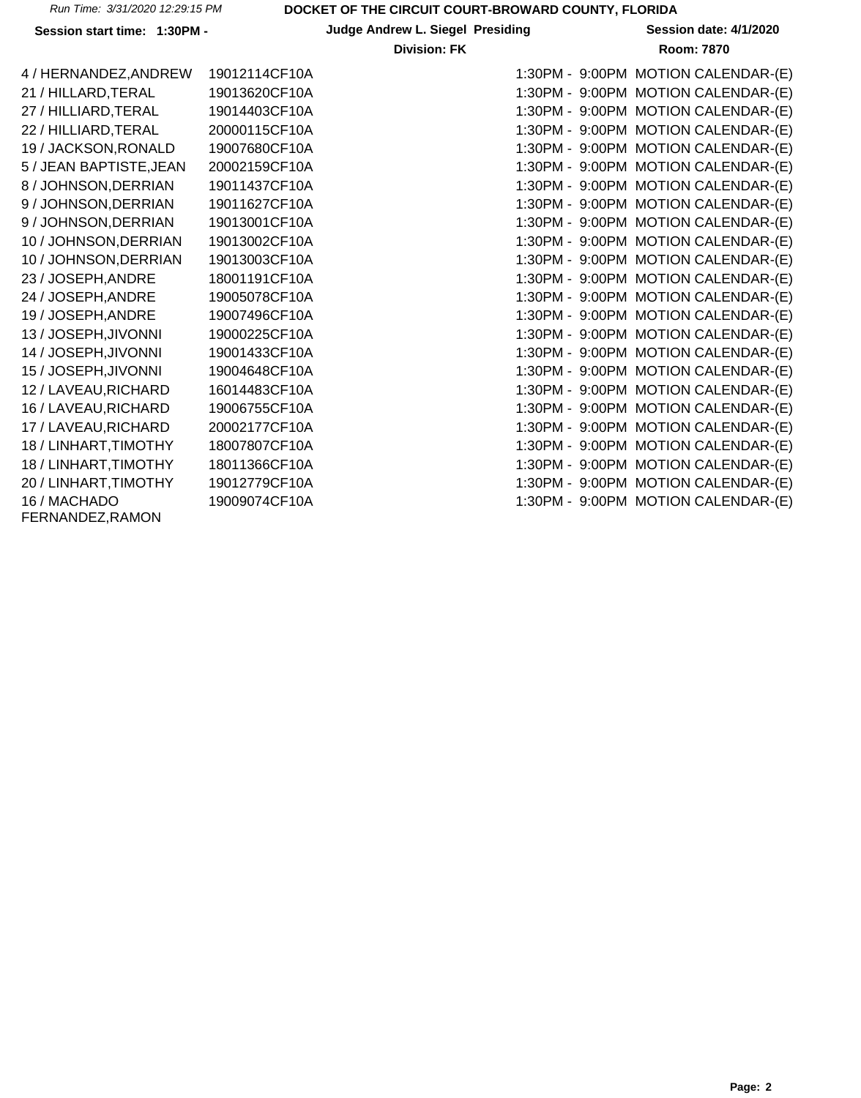**Session start time: 1:30PM - Judge Andrew L. Siegel Presiding Session date: 4/1/2020**

| 4 / HERNANDEZ, ANDREW            | 19012114CF10A | 1:30PM - 9:00PM MOTION CALENDAR-(E) |
|----------------------------------|---------------|-------------------------------------|
| 21 / HILLARD, TERAL              | 19013620CF10A | 1:30PM - 9:00PM MOTION CALENDAR-(E) |
| 27 / HILLIARD, TERAL             | 19014403CF10A | 1:30PM - 9:00PM MOTION CALENDAR-(E) |
| 22 / HILLIARD, TERAL             | 20000115CF10A | 1:30PM - 9:00PM MOTION CALENDAR-(E) |
| 19 / JACKSON, RONALD             | 19007680CF10A | 1:30PM - 9:00PM MOTION CALENDAR-(E) |
| 5 / JEAN BAPTISTE, JEAN          | 20002159CF10A | 1:30PM - 9:00PM MOTION CALENDAR-(E) |
| 8 / JOHNSON, DERRIAN             | 19011437CF10A | 1:30PM - 9:00PM MOTION CALENDAR-(E) |
| 9 / JOHNSON, DERRIAN             | 19011627CF10A | 1:30PM - 9:00PM MOTION CALENDAR-(E) |
| 9 / JOHNSON, DERRIAN             | 19013001CF10A | 1:30PM - 9:00PM MOTION CALENDAR-(E) |
| 10 / JOHNSON, DERRIAN            | 19013002CF10A | 1:30PM - 9:00PM MOTION CALENDAR-(E) |
| 10 / JOHNSON, DERRIAN            | 19013003CF10A | 1:30PM - 9:00PM MOTION CALENDAR-(E) |
| 23 / JOSEPH, ANDRE               | 18001191CF10A | 1:30PM - 9:00PM MOTION CALENDAR-(E) |
| 24 / JOSEPH, ANDRE               | 19005078CF10A | 1:30PM - 9:00PM MOTION CALENDAR-(E) |
| 19 / JOSEPH, ANDRE               | 19007496CF10A | 1:30PM - 9:00PM MOTION CALENDAR-(E) |
| 13 / JOSEPH, JIVONNI             | 19000225CF10A | 1:30PM - 9:00PM MOTION CALENDAR-(E) |
| 14 / JOSEPH, JIVONNI             | 19001433CF10A | 1:30PM - 9:00PM MOTION CALENDAR-(E) |
| 15 / JOSEPH, JIVONNI             | 19004648CF10A | 1:30PM - 9:00PM MOTION CALENDAR-(E) |
| 12 / LAVEAU, RICHARD             | 16014483CF10A | 1:30PM - 9:00PM MOTION CALENDAR-(E) |
| 16 / LAVEAU, RICHARD             | 19006755CF10A | 1:30PM - 9:00PM MOTION CALENDAR-(E) |
| 17 / LAVEAU, RICHARD             | 20002177CF10A | 1:30PM - 9:00PM MOTION CALENDAR-(E) |
| 18 / LINHART, TIMOTHY            | 18007807CF10A | 1:30PM - 9:00PM MOTION CALENDAR-(E) |
| 18 / LINHART, TIMOTHY            | 18011366CF10A | 1:30PM - 9:00PM MOTION CALENDAR-(E) |
| 20 / LINHART, TIMOTHY            | 19012779CF10A | 1:30PM - 9:00PM MOTION CALENDAR-(E) |
| 16 / MACHADO<br>FERNANDEZ, RAMON | 19009074CF10A | 1:30PM - 9:00PM MOTION CALENDAR-(E) |

| 19012114CF10A | 1:30PM - 9:00PM MOTION CALENDAR-(E) |
|---------------|-------------------------------------|
| 19013620CF10A | 1:30PM - 9:00PM MOTION CALENDAR-(E) |
| 19014403CF10A | 1:30PM - 9:00PM MOTION CALENDAR-(E) |
| 20000115CF10A | 1:30PM - 9:00PM MOTION CALENDAR-(E) |
| 19007680CF10A | 1:30PM - 9:00PM MOTION CALENDAR-(E) |
| 20002159CF10A | 1:30PM - 9:00PM MOTION CALENDAR-(E) |
| 19011437CF10A | 1:30PM - 9:00PM MOTION CALENDAR-(E) |
| 19011627CF10A | 1:30PM - 9:00PM MOTION CALENDAR-(E) |
| 19013001CF10A | 1:30PM - 9:00PM MOTION CALENDAR-(E) |
| 19013002CF10A | 1:30PM - 9:00PM MOTION CALENDAR-(E) |
| 19013003CF10A | 1:30PM - 9:00PM MOTION CALENDAR-(E) |
| 18001191CF10A | 1:30PM - 9:00PM MOTION CALENDAR-(E) |
| 19005078CF10A | 1:30PM - 9:00PM MOTION CALENDAR-(E) |
| 19007496CF10A | 1:30PM - 9:00PM MOTION CALENDAR-(E) |
| 19000225CF10A | 1:30PM - 9:00PM MOTION CALENDAR-(E) |
| 19001433CF10A | 1:30PM - 9:00PM MOTION CALENDAR-(E) |
| 19004648CF10A | 1:30PM - 9:00PM MOTION CALENDAR-(E) |
| 16014483CF10A | 1:30PM - 9:00PM MOTION CALENDAR-(E) |
| 19006755CF10A | 1:30PM - 9:00PM MOTION CALENDAR-(E) |
| 20002177CF10A | 1:30PM - 9:00PM MOTION CALENDAR-(E) |
| 18007807CF10A | 1:30PM - 9:00PM MOTION CALENDAR-(E) |
| 18011366CF10A | 1:30PM - 9:00PM MOTION CALENDAR-(E) |
| 19012779CF10A | 1:30PM - 9:00PM MOTION CALENDAR-(E) |
| 19009074CF10A | 1:30PM - 9:00PM MOTION CALENDAR-(E) |
|               |                                     |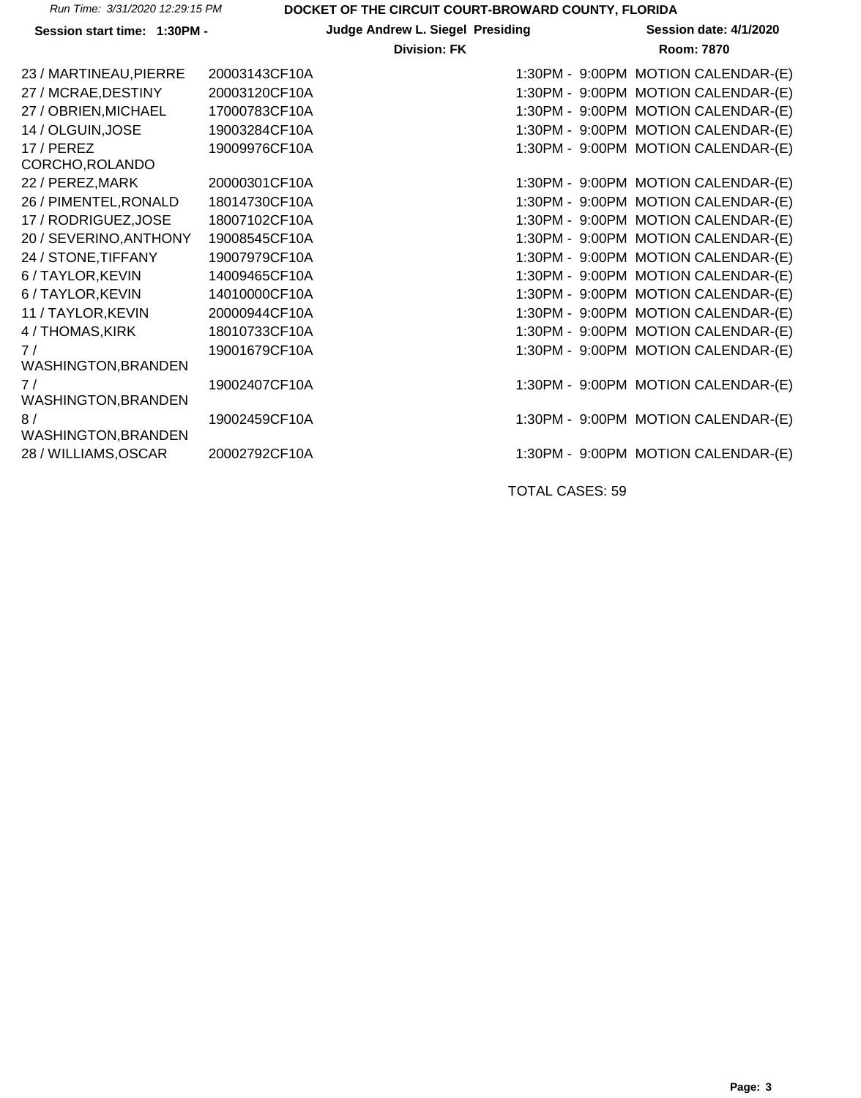|  | Run Time: 3/31/2020 12:29:15 PM |
|--|---------------------------------|
|  |                                 |

**Session start time: 1:30PM - Judge Andrew L. Siegel Presiding Session date: 4/1/2020**

#### **Division: FK Room: 7870**

| 23 / MARTINEAU, PIERRE     | 20003143CF10A | 1:30PM - 9:00PM MOTION CALENDAR-(E) |
|----------------------------|---------------|-------------------------------------|
| 27 / MCRAE, DESTINY        | 20003120CF10A | 1:30PM - 9:00PM MOTION CALENDAR-(E) |
| 27 / OBRIEN, MICHAEL       | 17000783CF10A | 1:30PM - 9:00PM MOTION CALENDAR-(E) |
| 14 / OLGUIN, JOSE          | 19003284CF10A | 1:30PM - 9:00PM MOTION CALENDAR-(E) |
| 17/PEREZ                   | 19009976CF10A | 1:30PM - 9:00PM MOTION CALENDAR-(E) |
| CORCHO, ROLANDO            |               |                                     |
| 22 / PEREZ, MARK           | 20000301CF10A | 1:30PM - 9:00PM MOTION CALENDAR-(E) |
| 26 / PIMENTEL, RONALD      | 18014730CF10A | 1:30PM - 9:00PM MOTION CALENDAR-(E) |
| 17 / RODRIGUEZ, JOSE       | 18007102CF10A | 1:30PM - 9:00PM MOTION CALENDAR-(E) |
| 20 / SEVERINO, ANTHONY     | 19008545CF10A | 1:30PM - 9:00PM MOTION CALENDAR-(E) |
| 24 / STONE, TIFFANY        | 19007979CF10A | 1:30PM - 9:00PM MOTION CALENDAR-(E) |
| 6 / TAYLOR, KEVIN          | 14009465CF10A | 1:30PM - 9:00PM MOTION CALENDAR-(E) |
| 6 / TAYLOR, KEVIN          | 14010000CF10A | 1:30PM - 9:00PM MOTION CALENDAR-(E) |
| 11 / TAYLOR, KEVIN         | 20000944CF10A | 1:30PM - 9:00PM MOTION CALENDAR-(E) |
| 4 / THOMAS, KIRK           | 18010733CF10A | 1:30PM - 9:00PM MOTION CALENDAR-(E) |
| 7/                         | 19001679CF10A | 1:30PM - 9:00PM MOTION CALENDAR-(E) |
| <b>WASHINGTON, BRANDEN</b> |               |                                     |
| 7/                         | 19002407CF10A | 1:30PM - 9:00PM MOTION CALENDAR-(E) |
| <b>WASHINGTON, BRANDEN</b> |               |                                     |
| 8/                         | 19002459CF10A | 1:30PM - 9:00PM MOTION CALENDAR-(E) |
| <b>WASHINGTON, BRANDEN</b> |               |                                     |
| 28 / WILLIAMS, OSCAR       | 20002792CF10A | 1:30PM - 9:00PM MOTION CALENDAR-(E) |
|                            |               |                                     |

TOTAL CASES: 59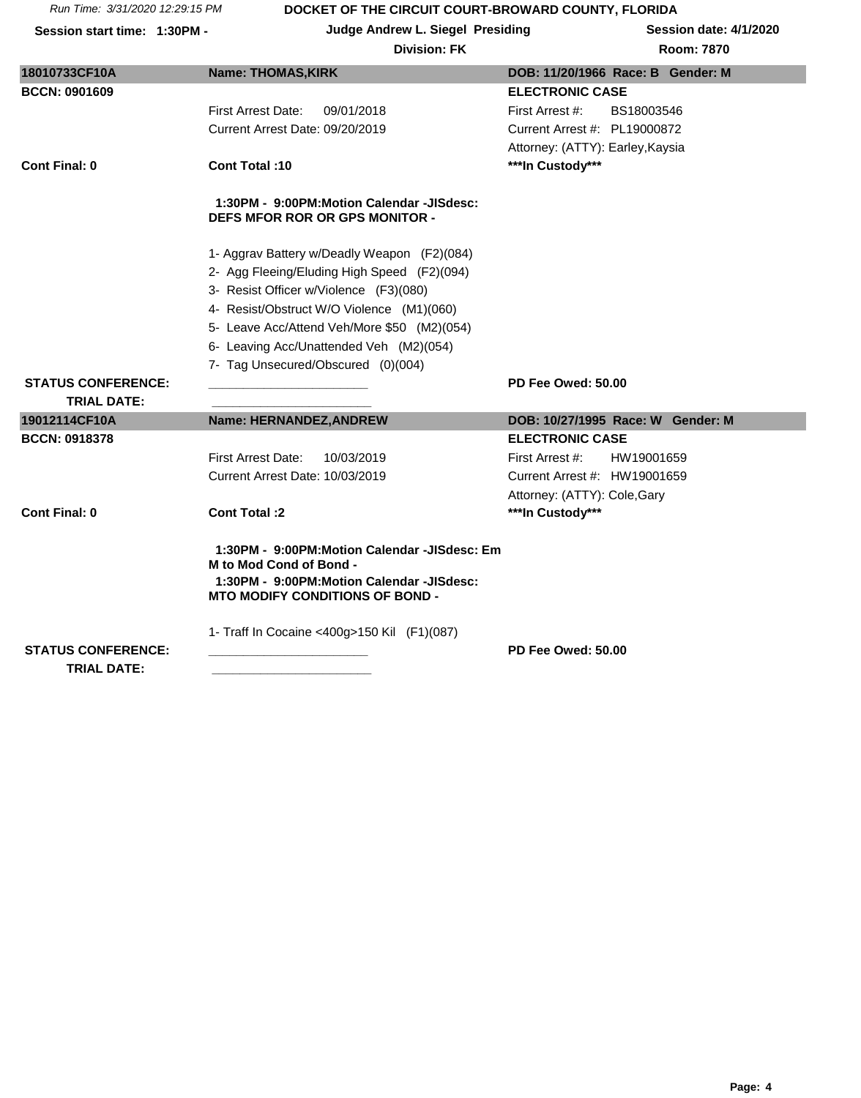| Session start time: 1:30PM - |                           | <b>Judge Andrew L. Siegel Presiding</b><br><b>Division: FK</b>                     |                                  | Session date: 4/1/2020<br><b>Room: 7870</b> |
|------------------------------|---------------------------|------------------------------------------------------------------------------------|----------------------------------|---------------------------------------------|
| 18010733CF10A                | <b>Name: THOMAS, KIRK</b> |                                                                                    |                                  | DOB: 11/20/1966 Race: B Gender: M           |
| <b>BCCN: 0901609</b>         |                           |                                                                                    | <b>ELECTRONIC CASE</b>           |                                             |
|                              | First Arrest Date:        | 09/01/2018                                                                         | First Arrest #:                  | BS18003546                                  |
|                              |                           | Current Arrest Date: 09/20/2019                                                    | Current Arrest #: PL19000872     |                                             |
|                              |                           |                                                                                    | Attorney: (ATTY): Earley, Kaysia |                                             |
| <b>Cont Final: 0</b>         | <b>Cont Total: 10</b>     |                                                                                    | ***In Custody***                 |                                             |
|                              |                           | 1:30PM - 9:00PM:Motion Calendar -JISdesc:<br><b>DEFS MFOR ROR OR GPS MONITOR -</b> |                                  |                                             |
|                              |                           | 1- Aggrav Battery w/Deadly Weapon (F2)(084)                                        |                                  |                                             |
|                              |                           | 2- Agg Fleeing/Eluding High Speed (F2)(094)                                        |                                  |                                             |
|                              |                           | 3- Resist Officer w/Violence (F3)(080)                                             |                                  |                                             |
|                              |                           | 4- Resist/Obstruct W/O Violence (M1)(060)                                          |                                  |                                             |
|                              |                           | 5- Leave Acc/Attend Veh/More \$50 (M2)(054)                                        |                                  |                                             |
|                              |                           | 6- Leaving Acc/Unattended Veh (M2)(054)                                            |                                  |                                             |
|                              |                           | 7- Tag Unsecured/Obscured (0)(004)                                                 |                                  |                                             |
| <b>STATUS CONFERENCE:</b>    |                           |                                                                                    | PD Fee Owed: 50.00               |                                             |
| <b>TRIAL DATE:</b>           |                           |                                                                                    |                                  |                                             |
| 19012114CF10A                |                           | Name: HERNANDEZ, ANDREW                                                            |                                  | DOB: 10/27/1995 Race: W Gender: M           |
| <b>BCCN: 0918378</b>         |                           |                                                                                    | <b>ELECTRONIC CASE</b>           |                                             |

First Arrest Date: 10/03/2019 First Arrest #: HW19001659 Current Arrest Date: 10/03/2019 Current Arrest #: HW19001659 Attorney: (ATTY): Cole,Gary **Cont Final: 0 Cont Total :2 \*\*\*In Custody\*\*\***

> **1:30PM - 9:00PM:Motion Calendar -JISdesc: Em M to Mod Cond of Bond - 1:30PM - 9:00PM:Motion Calendar -JISdesc: MTO MODIFY CONDITIONS OF BOND -**

> > 1- Traff In Cocaine <400g>150 Kil (F1)(087)

 **TRIAL DATE: \_\_\_\_\_\_\_\_\_\_\_\_\_\_\_\_\_\_\_\_\_\_\_**

**STATUS CONFERENCE: \_\_\_\_\_\_\_\_\_\_\_\_\_\_\_\_\_\_\_\_\_\_\_ PD Fee Owed: 50.00**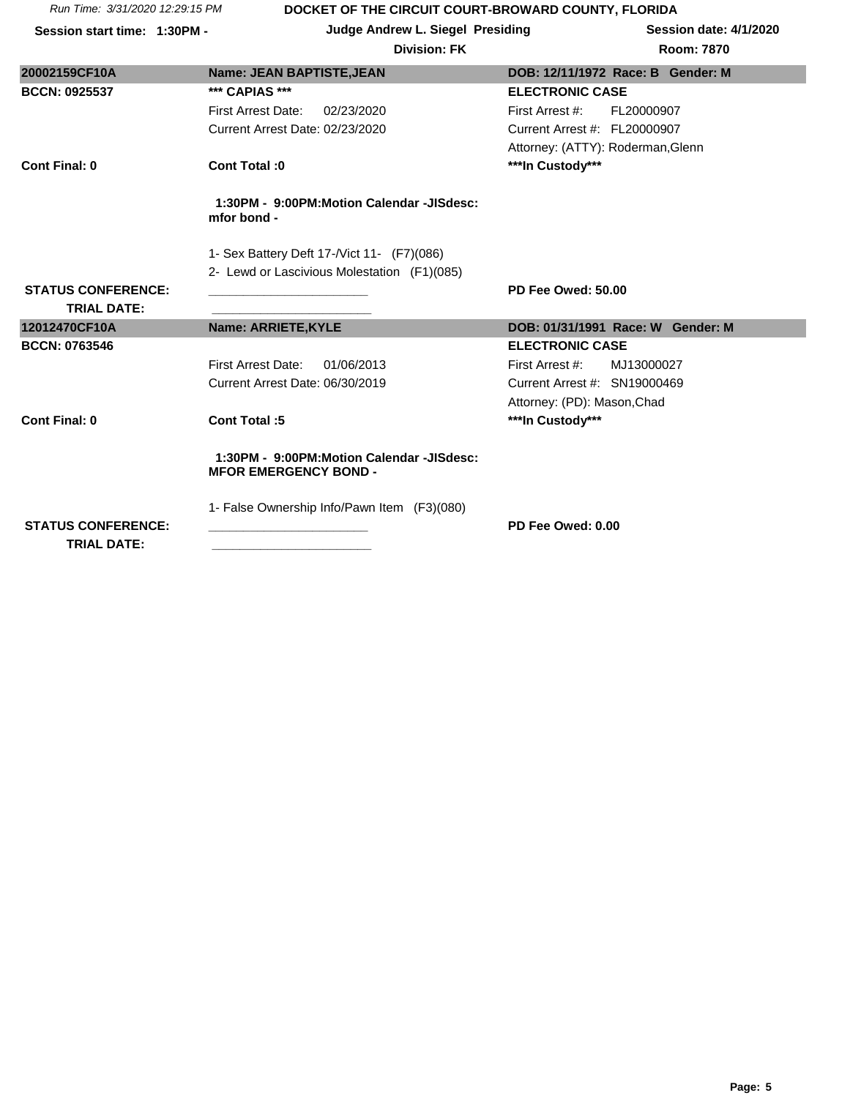**Session start time: 1:30PM - Judge Andrew L. Siegel Presiding Session date: 4/1/2020**

| 20002159CF10A                                   | <b>Name: JEAN BAPTISTE, JEAN</b>                                          | DOB: 12/11/1972 Race: B Gender: M |
|-------------------------------------------------|---------------------------------------------------------------------------|-----------------------------------|
| <b>BCCN: 0925537</b>                            | *** CAPIAS ***                                                            | <b>ELECTRONIC CASE</b>            |
|                                                 | <b>First Arrest Date:</b><br>02/23/2020                                   | First Arrest #:<br>FL20000907     |
|                                                 | Current Arrest Date: 02/23/2020                                           | Current Arrest #: FL20000907      |
|                                                 |                                                                           | Attorney: (ATTY): Roderman, Glenn |
| Cont Final: 0                                   | Cont Total: 0                                                             | ***In Custody***                  |
|                                                 | 1:30PM - 9:00PM:Motion Calendar -JISdesc:<br>mfor bond -                  |                                   |
|                                                 | 1- Sex Battery Deft 17-/Vict 11- (F7)(086)                                |                                   |
|                                                 | 2- Lewd or Lascivious Molestation (F1)(085)                               |                                   |
| <b>STATUS CONFERENCE:</b>                       |                                                                           | PD Fee Owed: 50.00                |
|                                                 |                                                                           |                                   |
| <b>TRIAL DATE:</b>                              |                                                                           |                                   |
| 12012470CF10A                                   | <b>Name: ARRIETE, KYLE</b>                                                | DOB: 01/31/1991 Race: W Gender: M |
| <b>BCCN: 0763546</b>                            |                                                                           | <b>ELECTRONIC CASE</b>            |
|                                                 | <b>First Arrest Date:</b><br>01/06/2013                                   | First Arrest #:<br>MJ13000027     |
|                                                 | Current Arrest Date: 06/30/2019                                           | Current Arrest #: SN19000469      |
|                                                 |                                                                           | Attorney: (PD): Mason, Chad       |
| <b>Cont Final: 0</b>                            | Cont Total:5                                                              | ***In Custody***                  |
|                                                 | 1:30PM - 9:00PM:Motion Calendar -JISdesc:<br><b>MFOR EMERGENCY BOND -</b> |                                   |
|                                                 | 1- False Ownership Info/Pawn Item (F3)(080)                               |                                   |
| <b>STATUS CONFERENCE:</b><br><b>TRIAL DATE:</b> |                                                                           | PD Fee Owed: 0.00                 |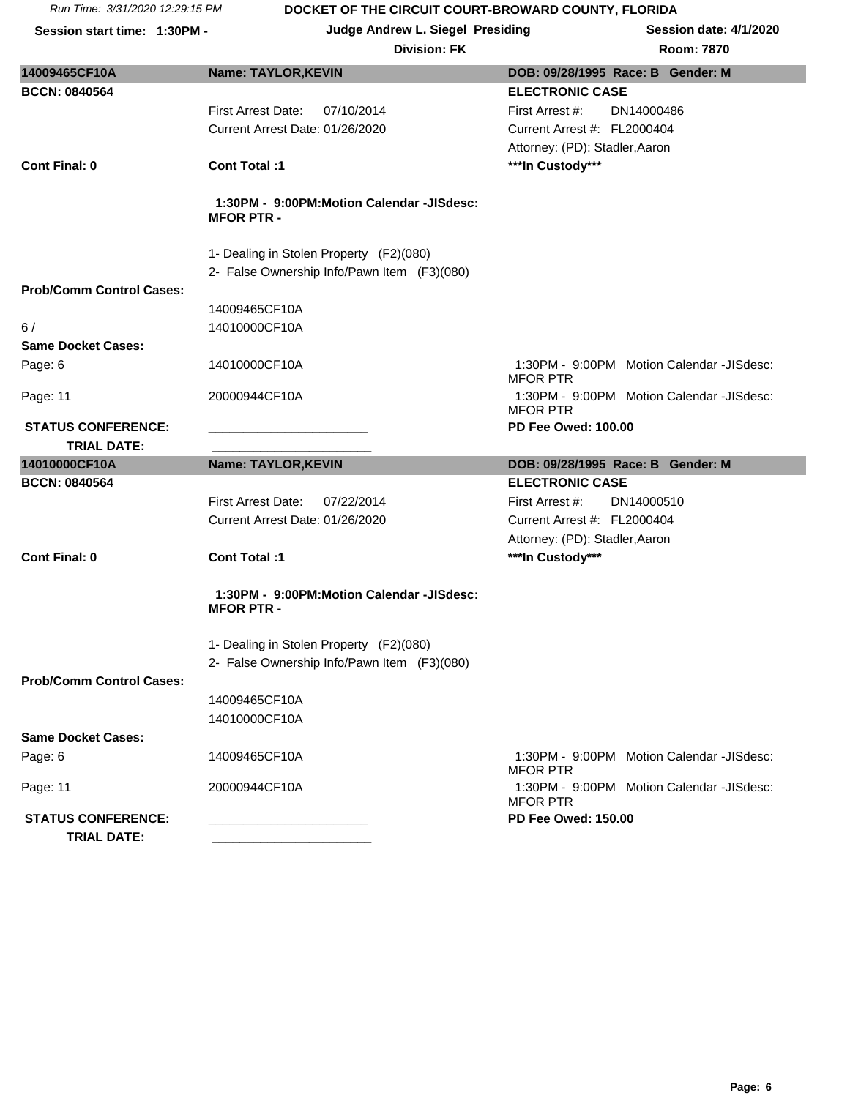**Session start time: 1:30PM - Judge Andrew L. Siegel Presiding Session date: 4/1/2020**

| oom: 7870 |  |
|-----------|--|
|           |  |

| 14009465CF10A                         | <b>Name: TAYLOR, KEVIN</b>                                     | DOB: 09/28/1995 Race: B Gender: M                                                          |
|---------------------------------------|----------------------------------------------------------------|--------------------------------------------------------------------------------------------|
| <b>BCCN: 0840564</b>                  |                                                                | <b>ELECTRONIC CASE</b>                                                                     |
|                                       | <b>First Arrest Date:</b><br>07/10/2014                        | DN14000486<br>First Arrest #:                                                              |
|                                       | Current Arrest Date: 01/26/2020                                | Current Arrest #: FL2000404                                                                |
|                                       |                                                                | Attorney: (PD): Stadler, Aaron                                                             |
| <b>Cont Final: 0</b>                  | Cont Total:1                                                   | ***In Custody***                                                                           |
|                                       |                                                                |                                                                                            |
|                                       | 1:30PM - 9:00PM:Motion Calendar -JISdesc:<br><b>MFOR PTR -</b> |                                                                                            |
|                                       | 1- Dealing in Stolen Property (F2)(080)                        |                                                                                            |
|                                       | 2- False Ownership Info/Pawn Item (F3)(080)                    |                                                                                            |
| <b>Prob/Comm Control Cases:</b>       |                                                                |                                                                                            |
|                                       | 14009465CF10A                                                  |                                                                                            |
| 6/                                    | 14010000CF10A                                                  |                                                                                            |
| <b>Same Docket Cases:</b>             |                                                                |                                                                                            |
| Page: 6                               | 14010000CF10A                                                  | 1:30PM - 9:00PM Motion Calendar -JISdesc:<br><b>MFOR PTR</b>                               |
| Page: 11                              | 20000944CF10A                                                  | 1:30PM - 9:00PM Motion Calendar -JISdesc:<br><b>MFOR PTR</b>                               |
| <b>STATUS CONFERENCE:</b>             |                                                                | <b>PD Fee Owed: 100.00</b>                                                                 |
| <b>TRIAL DATE:</b>                    |                                                                |                                                                                            |
|                                       |                                                                |                                                                                            |
| 14010000CF10A                         | <b>Name: TAYLOR, KEVIN</b>                                     | DOB: 09/28/1995 Race: B Gender: M                                                          |
| <b>BCCN: 0840564</b>                  |                                                                | <b>ELECTRONIC CASE</b>                                                                     |
|                                       | <b>First Arrest Date:</b><br>07/22/2014                        | First Arrest #:<br>DN14000510                                                              |
|                                       | Current Arrest Date: 01/26/2020                                | Current Arrest #: FL2000404                                                                |
|                                       |                                                                | Attorney: (PD): Stadler, Aaron                                                             |
| <b>Cont Final: 0</b>                  | Cont Total:1                                                   | ***In Custody***                                                                           |
|                                       | 1:30PM - 9:00PM:Motion Calendar -JISdesc:<br><b>MFOR PTR -</b> |                                                                                            |
|                                       |                                                                |                                                                                            |
|                                       | 1- Dealing in Stolen Property (F2)(080)                        |                                                                                            |
| <b>Prob/Comm Control Cases:</b>       | 2- False Ownership Info/Pawn Item (F3)(080)                    |                                                                                            |
|                                       | 14009465CF10A                                                  |                                                                                            |
|                                       | 14010000CF10A                                                  |                                                                                            |
| <b>Same Docket Cases:</b>             |                                                                |                                                                                            |
| Page: 6                               | 14009465CF10A                                                  | 1:30PM - 9:00PM Motion Calendar -JISdesc:<br><b>MFOR PTR</b>                               |
| Page: 11<br><b>STATUS CONFERENCE:</b> | 20000944CF10A                                                  | 1:30PM - 9:00PM Motion Calendar -JISdesc:<br><b>MFOR PTR</b><br><b>PD Fee Owed: 150.00</b> |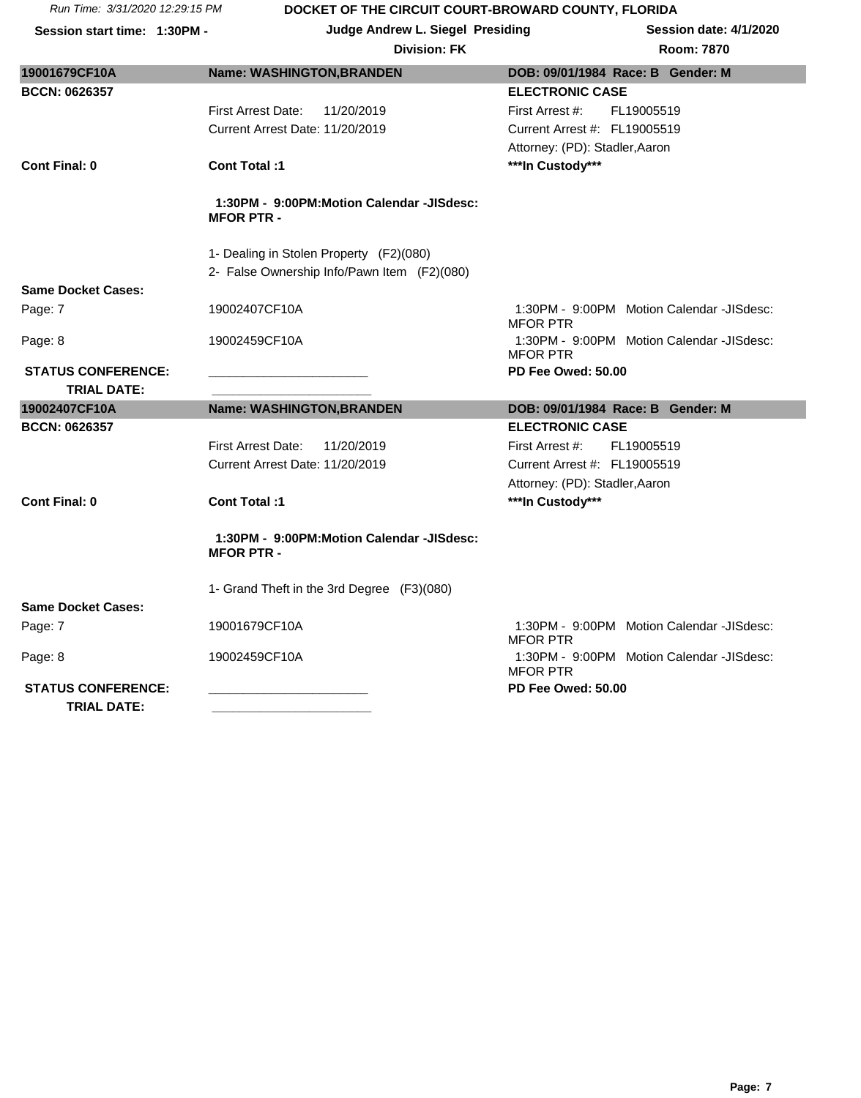| Session start time: 1:30PM -                    |                                         | Judge Andrew L. Siegel Presiding            |                                | Session date: 4/1/2020                    |
|-------------------------------------------------|-----------------------------------------|---------------------------------------------|--------------------------------|-------------------------------------------|
|                                                 |                                         | <b>Division: FK</b>                         |                                | <b>Room: 7870</b>                         |
| 19001679CF10A                                   | Name: WASHINGTON, BRANDEN               |                                             |                                | DOB: 09/01/1984 Race: B Gender: M         |
| <b>BCCN: 0626357</b>                            |                                         |                                             | <b>ELECTRONIC CASE</b>         |                                           |
|                                                 | <b>First Arrest Date:</b>               | 11/20/2019                                  | First Arrest #:                | FL19005519                                |
|                                                 | Current Arrest Date: 11/20/2019         |                                             | Current Arrest #: FL19005519   |                                           |
|                                                 |                                         |                                             | Attorney: (PD): Stadler, Aaron |                                           |
| <b>Cont Final: 0</b>                            | <b>Cont Total:1</b>                     |                                             | ***In Custody***               |                                           |
|                                                 | <b>MFOR PTR -</b>                       | 1:30PM - 9:00PM:Motion Calendar -JISdesc:   |                                |                                           |
|                                                 | 1- Dealing in Stolen Property (F2)(080) |                                             |                                |                                           |
|                                                 |                                         | 2- False Ownership Info/Pawn Item (F2)(080) |                                |                                           |
| <b>Same Docket Cases:</b>                       |                                         |                                             |                                |                                           |
| Page: 7                                         | 19002407CF10A                           |                                             | <b>MFOR PTR</b>                | 1:30PM - 9:00PM Motion Calendar -JISdesc: |
| Page: 8                                         | 19002459CF10A                           |                                             | <b>MFOR PTR</b>                | 1:30PM - 9:00PM Motion Calendar -JISdesc: |
| <b>STATUS CONFERENCE:</b>                       |                                         |                                             | PD Fee Owed: 50.00             |                                           |
| <b>TRIAL DATE:</b>                              |                                         |                                             |                                |                                           |
| 19002407CF10A                                   | Name: WASHINGTON, BRANDEN               |                                             |                                | DOB: 09/01/1984 Race: B Gender: M         |
| <b>BCCN: 0626357</b>                            |                                         |                                             | <b>ELECTRONIC CASE</b>         |                                           |
|                                                 | <b>First Arrest Date:</b>               | 11/20/2019                                  | First Arrest #:                | FL19005519                                |
|                                                 | Current Arrest Date: 11/20/2019         |                                             | Current Arrest #: FL19005519   |                                           |
|                                                 |                                         |                                             | Attorney: (PD): Stadler, Aaron |                                           |
| <b>Cont Final: 0</b>                            | <b>Cont Total:1</b>                     |                                             | ***In Custody***               |                                           |
|                                                 | <b>MFOR PTR -</b>                       | 1:30PM - 9:00PM:Motion Calendar -JISdesc:   |                                |                                           |
|                                                 |                                         | 1- Grand Theft in the 3rd Degree (F3)(080)  |                                |                                           |
| <b>Same Docket Cases:</b>                       |                                         |                                             |                                |                                           |
| Page: 7                                         | 19001679CF10A                           |                                             | <b>MFOR PTR</b>                | 1:30PM - 9:00PM Motion Calendar -JISdesc: |
| Page: 8                                         | 19002459CF10A                           |                                             | <b>MFOR PTR</b>                | 1:30PM - 9:00PM Motion Calendar -JISdesc: |
| <b>STATUS CONFERENCE:</b><br><b>TRIAL DATE:</b> |                                         |                                             | PD Fee Owed: 50.00             |                                           |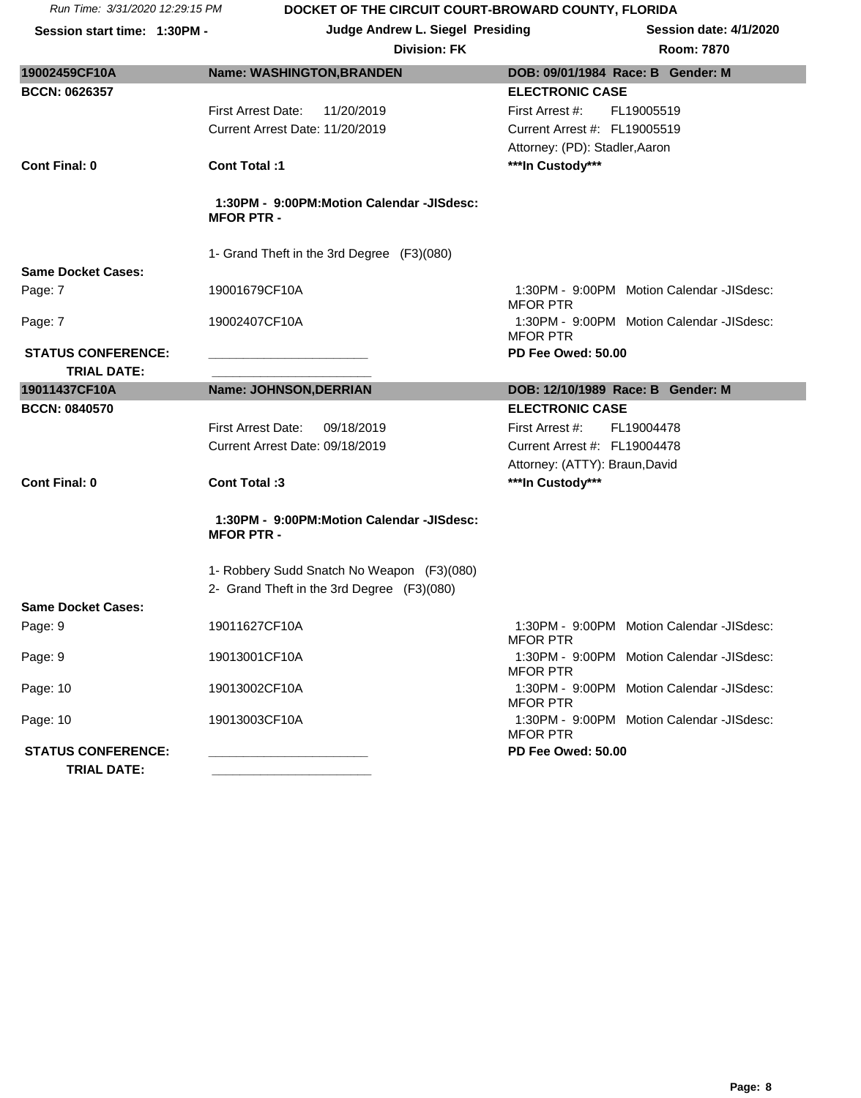| <b>Division: FK</b> | <b>Room: 7870</b> |
|---------------------|-------------------|
|                     |                   |

| 19002459CF10A                                   | <b>Name: WASHINGTON, BRANDEN</b>                               | DOB: 09/01/1984 Race: B Gender: M                            |  |  |
|-------------------------------------------------|----------------------------------------------------------------|--------------------------------------------------------------|--|--|
| <b>BCCN: 0626357</b>                            |                                                                | <b>ELECTRONIC CASE</b>                                       |  |  |
|                                                 | <b>First Arrest Date:</b><br>11/20/2019                        | First Arrest #:<br>FL19005519                                |  |  |
|                                                 | Current Arrest Date: 11/20/2019                                | Current Arrest #: FL19005519                                 |  |  |
|                                                 |                                                                | Attorney: (PD): Stadler, Aaron                               |  |  |
| <b>Cont Final: 0</b>                            | <b>Cont Total:1</b>                                            | ***In Custody***                                             |  |  |
|                                                 | 1:30PM - 9:00PM:Motion Calendar -JISdesc:<br><b>MFOR PTR -</b> |                                                              |  |  |
|                                                 | 1- Grand Theft in the 3rd Degree (F3)(080)                     |                                                              |  |  |
| <b>Same Docket Cases:</b>                       |                                                                |                                                              |  |  |
| Page: 7                                         | 19001679CF10A                                                  | 1:30PM - 9:00PM Motion Calendar -JISdesc:<br><b>MFOR PTR</b> |  |  |
| Page: 7                                         | 19002407CF10A                                                  | 1:30PM - 9:00PM Motion Calendar -JISdesc:<br><b>MFOR PTR</b> |  |  |
| <b>STATUS CONFERENCE:</b>                       |                                                                | PD Fee Owed: 50.00                                           |  |  |
| <b>TRIAL DATE:</b>                              |                                                                |                                                              |  |  |
| 19011437CF10A                                   | Name: JOHNSON, DERRIAN                                         | DOB: 12/10/1989 Race: B Gender: M                            |  |  |
| <b>BCCN: 0840570</b>                            |                                                                | <b>ELECTRONIC CASE</b>                                       |  |  |
|                                                 | <b>First Arrest Date:</b><br>09/18/2019                        | First Arrest #:<br>FL19004478                                |  |  |
|                                                 | Current Arrest Date: 09/18/2019                                | Current Arrest #: FL19004478                                 |  |  |
|                                                 |                                                                | Attorney: (ATTY): Braun, David                               |  |  |
| <b>Cont Final: 0</b>                            | Cont Total:3                                                   | ***In Custody***                                             |  |  |
|                                                 | 1:30PM - 9:00PM:Motion Calendar -JISdesc:<br><b>MFOR PTR -</b> |                                                              |  |  |
|                                                 | 1- Robbery Sudd Snatch No Weapon (F3)(080)                     |                                                              |  |  |
|                                                 | 2- Grand Theft in the 3rd Degree (F3)(080)                     |                                                              |  |  |
| <b>Same Docket Cases:</b>                       |                                                                |                                                              |  |  |
| Page: 9                                         | 19011627CF10A                                                  | 1:30PM - 9:00PM Motion Calendar -JISdesc:<br><b>MFOR PTR</b> |  |  |
| Page: 9                                         | 19013001CF10A                                                  | 1:30PM - 9:00PM Motion Calendar -JISdesc:<br><b>MFOR PTR</b> |  |  |
| Page: 10                                        | 19013002CF10A                                                  | 1:30PM - 9:00PM Motion Calendar -JISdesc:<br><b>MFOR PTR</b> |  |  |
| Page: 10                                        | 19013003CF10A                                                  | 1:30PM - 9:00PM Motion Calendar -JISdesc:<br><b>MFOR PTR</b> |  |  |
| <b>STATUS CONFERENCE:</b><br><b>TRIAL DATE:</b> |                                                                | PD Fee Owed: 50.00                                           |  |  |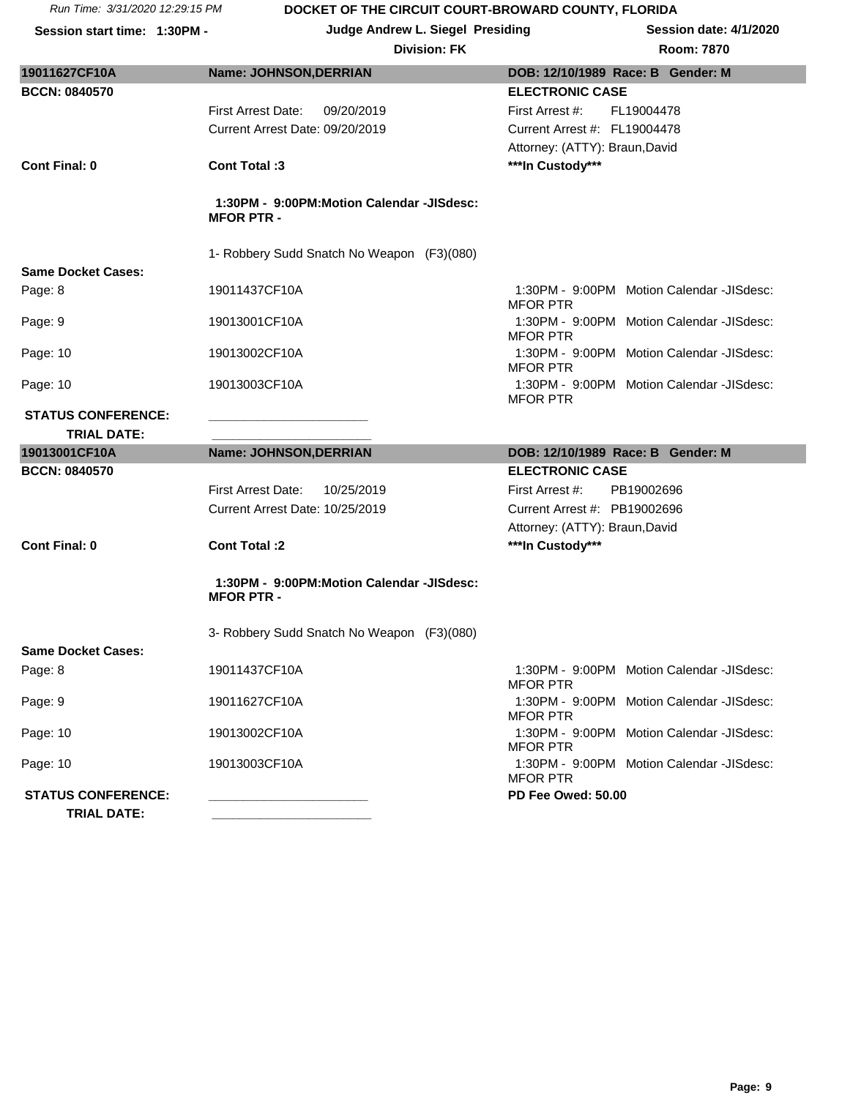| 19011627CF10A                        | <b>Name: JOHNSON, DERRIAN</b>                                  | DOB: 12/10/1989 Race: B Gender: M                            |  |  |  |
|--------------------------------------|----------------------------------------------------------------|--------------------------------------------------------------|--|--|--|
| <b>BCCN: 0840570</b>                 |                                                                | <b>ELECTRONIC CASE</b>                                       |  |  |  |
|                                      | <b>First Arrest Date:</b><br>09/20/2019                        | First Arrest #:<br>FL19004478                                |  |  |  |
|                                      | Current Arrest Date: 09/20/2019                                | Current Arrest #: FL19004478                                 |  |  |  |
|                                      |                                                                | Attorney: (ATTY): Braun, David                               |  |  |  |
| Cont Final: 0                        | Cont Total:3                                                   | ***In Custody***                                             |  |  |  |
|                                      | 1:30PM - 9:00PM:Motion Calendar -JISdesc:<br><b>MFOR PTR-</b>  |                                                              |  |  |  |
|                                      | 1- Robbery Sudd Snatch No Weapon (F3)(080)                     |                                                              |  |  |  |
| <b>Same Docket Cases:</b>            |                                                                |                                                              |  |  |  |
| Page: 8                              | 19011437CF10A                                                  | 1:30PM - 9:00PM Motion Calendar -JISdesc:<br><b>MFOR PTR</b> |  |  |  |
| Page: 9                              | 19013001CF10A                                                  | 1:30PM - 9:00PM Motion Calendar -JISdesc:<br><b>MFOR PTR</b> |  |  |  |
| Page: 10                             | 19013002CF10A                                                  | 1:30PM - 9:00PM Motion Calendar -JISdesc:<br><b>MFOR PTR</b> |  |  |  |
| Page: 10                             | 19013003CF10A                                                  | 1:30PM - 9:00PM Motion Calendar -JISdesc:<br><b>MFOR PTR</b> |  |  |  |
| <b>STATUS CONFERENCE:</b>            |                                                                |                                                              |  |  |  |
| <b>TRIAL DATE:</b>                   |                                                                |                                                              |  |  |  |
|                                      |                                                                |                                                              |  |  |  |
| 19013001CF10A                        | <b>Name: JOHNSON, DERRIAN</b>                                  | DOB: 12/10/1989 Race: B Gender: M                            |  |  |  |
| <b>BCCN: 0840570</b>                 |                                                                | <b>ELECTRONIC CASE</b>                                       |  |  |  |
|                                      | <b>First Arrest Date:</b><br>10/25/2019                        | First Arrest #:<br>PB19002696                                |  |  |  |
|                                      | Current Arrest Date: 10/25/2019                                | Current Arrest #: PB19002696                                 |  |  |  |
| <b>Cont Final: 0</b>                 | <b>Cont Total:2</b>                                            | Attorney: (ATTY): Braun, David<br>***In Custody***           |  |  |  |
|                                      | 1:30PM - 9:00PM:Motion Calendar -JISdesc:<br><b>MFOR PTR -</b> |                                                              |  |  |  |
|                                      | 3- Robbery Sudd Snatch No Weapon (F3)(080)                     |                                                              |  |  |  |
| <b>Same Docket Cases:</b><br>Page: 8 | 19011437CF10A                                                  | 1:30PM - 9:00PM Motion Calendar -JISdesc:<br><b>MFOR PTR</b> |  |  |  |
| Page: 9                              | 19011627CF10A                                                  | 1:30PM - 9:00PM Motion Calendar -JISdesc:<br><b>MFOR PTR</b> |  |  |  |
| Page: 10                             | 19013002CF10A                                                  | 1:30PM - 9:00PM Motion Calendar -JISdesc:<br><b>MFOR PTR</b> |  |  |  |
| Page: 10                             | 19013003CF10A                                                  | 1:30PM - 9:00PM Motion Calendar -JISdesc:<br><b>MFOR PTR</b> |  |  |  |
| <b>STATUS CONFERENCE:</b>            |                                                                | PD Fee Owed: 50.00                                           |  |  |  |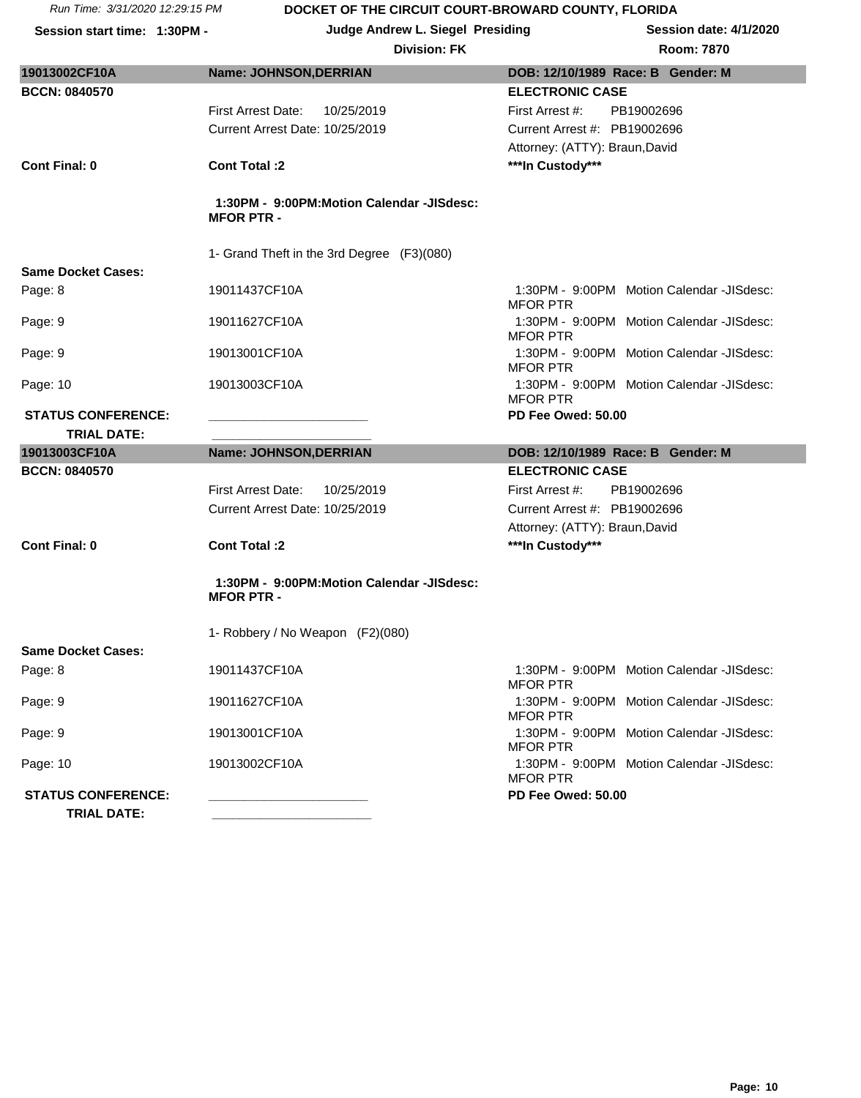| <b>Division: FK</b> | <b>Room: 7870</b> |
|---------------------|-------------------|
|                     |                   |

| 19013002CF10A             | <b>Name: JOHNSON, DERRIAN</b>                                 | DOB: 12/10/1989 Race: B Gender: M                            |  |  |
|---------------------------|---------------------------------------------------------------|--------------------------------------------------------------|--|--|
| <b>BCCN: 0840570</b>      |                                                               | <b>ELECTRONIC CASE</b>                                       |  |  |
|                           | <b>First Arrest Date:</b><br>10/25/2019                       | First Arrest #:<br>PB19002696                                |  |  |
|                           | Current Arrest Date: 10/25/2019                               | Current Arrest #: PB19002696                                 |  |  |
|                           |                                                               | Attorney: (ATTY): Braun, David                               |  |  |
| <b>Cont Final: 0</b>      | Cont Total :2                                                 | ***In Custody***                                             |  |  |
|                           |                                                               |                                                              |  |  |
|                           | 1- Grand Theft in the 3rd Degree (F3)(080)                    |                                                              |  |  |
| <b>Same Docket Cases:</b> |                                                               |                                                              |  |  |
| Page: 8                   | 19011437CF10A                                                 | 1:30PM - 9:00PM Motion Calendar -JISdesc:<br><b>MFOR PTR</b> |  |  |
| Page: 9                   | 19011627CF10A                                                 | 1:30PM - 9:00PM Motion Calendar -JISdesc:<br><b>MFOR PTR</b> |  |  |
| Page: 9                   | 19013001CF10A                                                 | 1:30PM - 9:00PM Motion Calendar -JISdesc:<br><b>MFOR PTR</b> |  |  |
| Page: 10                  | 19013003CF10A                                                 | 1:30PM - 9:00PM Motion Calendar -JISdesc:<br><b>MFOR PTR</b> |  |  |
| <b>STATUS CONFERENCE:</b> |                                                               | PD Fee Owed: 50.00                                           |  |  |
| <b>TRIAL DATE:</b>        |                                                               |                                                              |  |  |
|                           |                                                               |                                                              |  |  |
| 19013003CF10A             | Name: JOHNSON, DERRIAN                                        | DOB: 12/10/1989 Race: B Gender: M                            |  |  |
| <b>BCCN: 0840570</b>      |                                                               | <b>ELECTRONIC CASE</b>                                       |  |  |
|                           | <b>First Arrest Date:</b><br>10/25/2019                       | First Arrest #:<br>PB19002696                                |  |  |
|                           | Current Arrest Date: 10/25/2019                               | Current Arrest #: PB19002696                                 |  |  |
|                           |                                                               | Attorney: (ATTY): Braun, David                               |  |  |
| <b>Cont Final: 0</b>      | <b>Cont Total:2</b>                                           | ***In Custody***                                             |  |  |
|                           | 1:30PM - 9:00PM:Motion Calendar -JISdesc:<br><b>MFOR PTR-</b> |                                                              |  |  |
|                           | 1- Robbery / No Weapon (F2)(080)                              |                                                              |  |  |
| <b>Same Docket Cases:</b> |                                                               |                                                              |  |  |
| Page: 8                   | 19011437CF10A                                                 | 1:30PM - 9:00PM Motion Calendar -JISdesc:<br><b>MFOR PTR</b> |  |  |
| Page: 9                   | 19011627CF10A                                                 | 1:30PM - 9:00PM Motion Calendar -JISdesc:<br><b>MFOR PTR</b> |  |  |
| Page: 9                   | 19013001CF10A                                                 | 1:30PM - 9:00PM Motion Calendar -JISdesc:<br><b>MFOR PTR</b> |  |  |
| Page: 10                  | 19013002CF10A                                                 | 1:30PM - 9:00PM Motion Calendar -JISdesc:<br><b>MFOR PTR</b> |  |  |
| <b>STATUS CONFERENCE:</b> |                                                               | PD Fee Owed: 50.00                                           |  |  |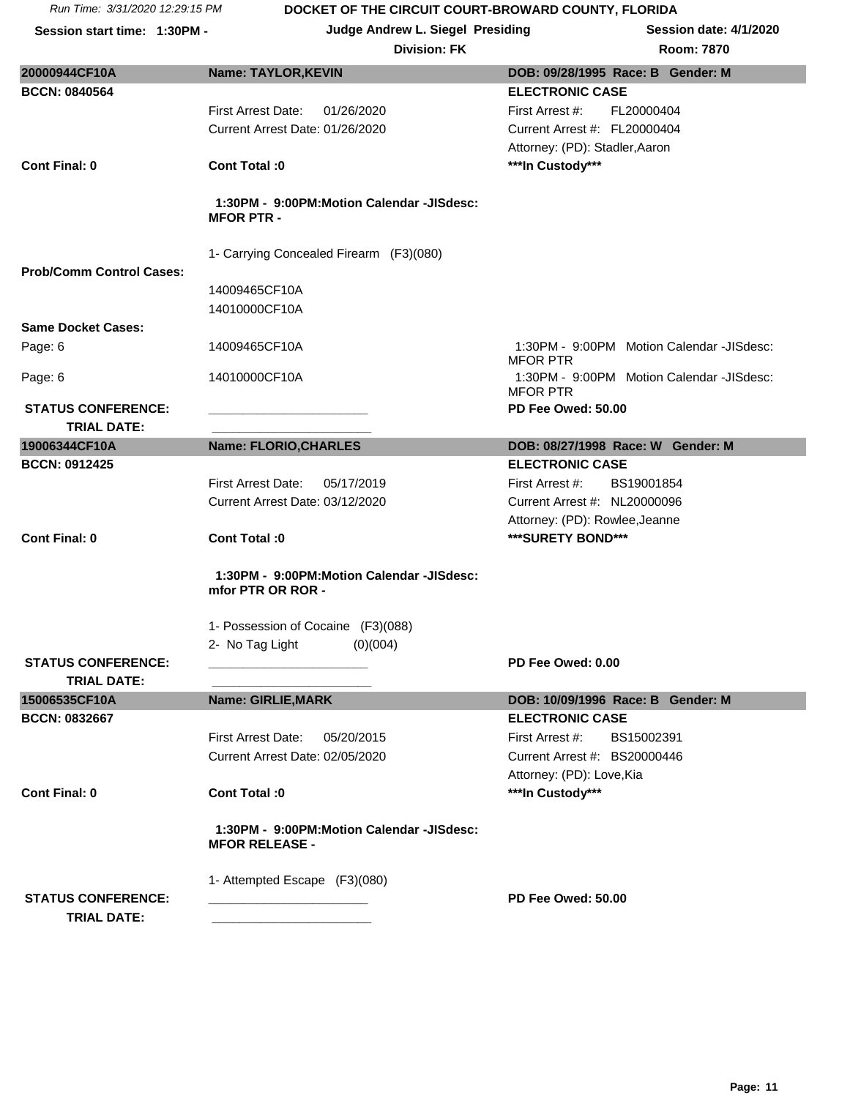**Session start time: 1:30PM - Judge Andrew L. Siegel Presiding Session date: 4/1/2020**

| 20000944CF10A                   | <b>Name: TAYLOR, KEVIN</b>                                         | DOB: 09/28/1995 Race: B Gender: M                            |
|---------------------------------|--------------------------------------------------------------------|--------------------------------------------------------------|
| <b>BCCN: 0840564</b>            |                                                                    | <b>ELECTRONIC CASE</b>                                       |
|                                 | <b>First Arrest Date:</b><br>01/26/2020                            | First Arrest #:<br>FL20000404                                |
|                                 | Current Arrest Date: 01/26/2020                                    | Current Arrest #: FL20000404                                 |
|                                 |                                                                    | Attorney: (PD): Stadler, Aaron                               |
| <b>Cont Final: 0</b>            | Cont Total: 0                                                      | ***In Custody***                                             |
|                                 |                                                                    |                                                              |
|                                 | 1:30PM - 9:00PM:Motion Calendar -JISdesc:<br><b>MFOR PTR-</b>      |                                                              |
| <b>Prob/Comm Control Cases:</b> | 1- Carrying Concealed Firearm (F3)(080)                            |                                                              |
|                                 | 14009465CF10A                                                      |                                                              |
|                                 | 14010000CF10A                                                      |                                                              |
| <b>Same Docket Cases:</b>       |                                                                    |                                                              |
| Page: 6                         | 14009465CF10A                                                      | 1:30PM - 9:00PM Motion Calendar -JISdesc:<br><b>MFOR PTR</b> |
| Page: 6                         | 14010000CF10A                                                      | 1:30PM - 9:00PM Motion Calendar -JISdesc:<br><b>MFOR PTR</b> |
| <b>STATUS CONFERENCE:</b>       |                                                                    | PD Fee Owed: 50.00                                           |
| <b>TRIAL DATE:</b>              |                                                                    |                                                              |
| 19006344CF10A                   | Name: FLORIO, CHARLES                                              | DOB: 08/27/1998 Race: W Gender: M                            |
| <b>BCCN: 0912425</b>            |                                                                    | <b>ELECTRONIC CASE</b>                                       |
|                                 | <b>First Arrest Date:</b><br>05/17/2019                            | First Arrest #:<br>BS19001854                                |
|                                 | Current Arrest Date: 03/12/2020                                    | Current Arrest #: NL20000096                                 |
|                                 |                                                                    | Attorney: (PD): Rowlee, Jeanne                               |
| <b>Cont Final: 0</b>            | Cont Total :0                                                      | ***SURETY BOND***                                            |
|                                 |                                                                    |                                                              |
|                                 | 1:30PM - 9:00PM:Motion Calendar -JISdesc:<br>mfor PTR OR ROR -     |                                                              |
|                                 | 1- Possession of Cocaine (F3)(088)                                 |                                                              |
|                                 | 2- No Tag Light<br>(0)(004)                                        |                                                              |
| <b>STATUS CONFERENCE:</b>       |                                                                    | PD Fee Owed: 0.00                                            |
| <b>TRIAL DATE:</b>              |                                                                    |                                                              |
| 15006535CF10A                   | Name: GIRLIE, MARK                                                 | DOB: 10/09/1996 Race: B Gender: M                            |
| <b>BCCN: 0832667</b>            |                                                                    | <b>ELECTRONIC CASE</b>                                       |
|                                 | <b>First Arrest Date:</b><br>05/20/2015                            | BS15002391<br>First Arrest #:                                |
|                                 | Current Arrest Date: 02/05/2020                                    | Current Arrest #: BS20000446                                 |
|                                 |                                                                    |                                                              |
| Cont Final: 0                   |                                                                    | Attorney: (PD): Love, Kia                                    |
|                                 | Cont Total: 0                                                      | ***In Custody***                                             |
|                                 | 1:30PM - 9:00PM:Motion Calendar -JISdesc:<br><b>MFOR RELEASE -</b> |                                                              |
|                                 | 1- Attempted Escape (F3)(080)                                      |                                                              |
| <b>STATUS CONFERENCE:</b>       |                                                                    | PD Fee Owed: 50.00                                           |
| <b>TRIAL DATE:</b>              |                                                                    |                                                              |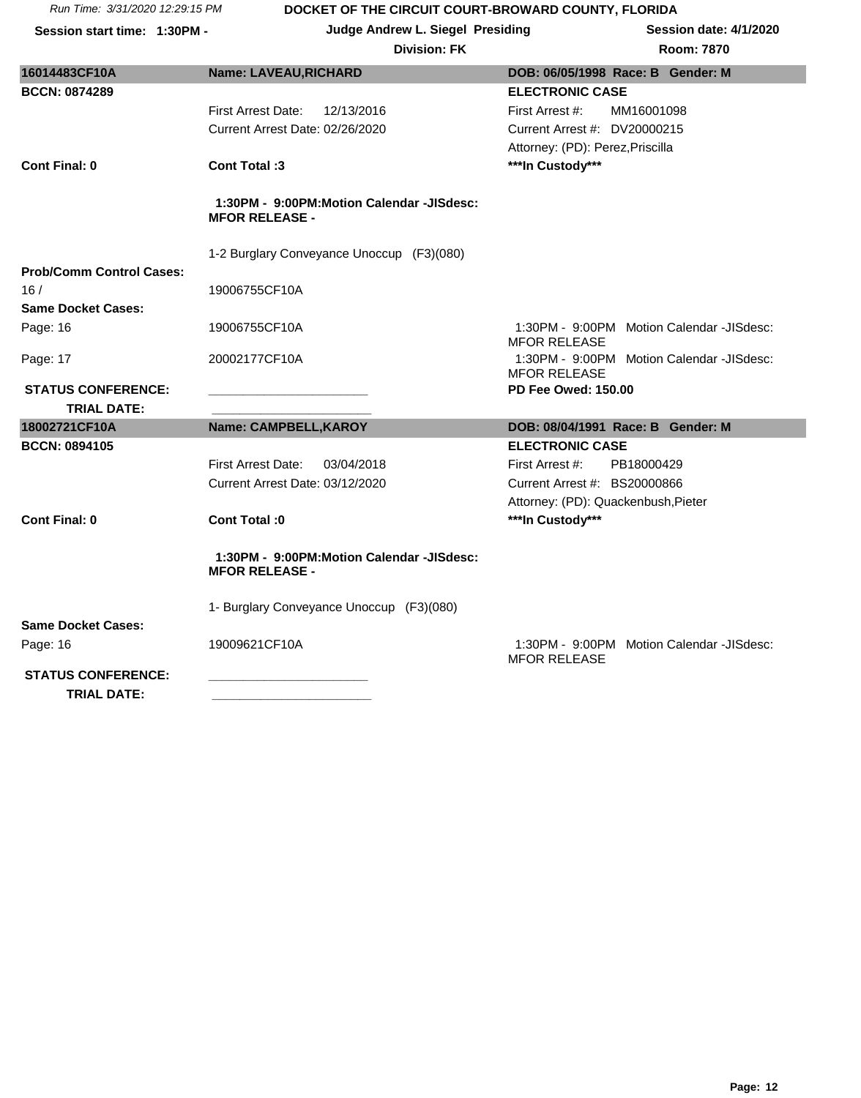| Run Time: 3/31/2020 12:29:15 PM |  |
|---------------------------------|--|
|                                 |  |

| Run Time: 3/31/2020 12:29:15 PM                 | DOCKET OF THE CIRCUIT COURT-BROWARD COUNTY, FLORIDA                |                                                                  |
|-------------------------------------------------|--------------------------------------------------------------------|------------------------------------------------------------------|
| Session start time: 1:30PM -                    | <b>Judge Andrew L. Siegel Presiding</b>                            | Session date: 4/1/2020                                           |
|                                                 | <b>Division: FK</b>                                                | Room: 7870                                                       |
| 16014483CF10A                                   | <b>Name: LAVEAU, RICHARD</b>                                       | DOB: 06/05/1998 Race: B Gender: M                                |
| <b>BCCN: 0874289</b>                            |                                                                    | <b>ELECTRONIC CASE</b>                                           |
|                                                 | First Arrest Date:<br>12/13/2016                                   | First Arrest #:<br>MM16001098                                    |
|                                                 | Current Arrest Date: 02/26/2020                                    | Current Arrest #: DV20000215                                     |
|                                                 |                                                                    | Attorney: (PD): Perez, Priscilla                                 |
| Cont Final: 0                                   | Cont Total: 3                                                      | ***In Custody***                                                 |
|                                                 | 1:30PM - 9:00PM:Motion Calendar -JISdesc:<br><b>MFOR RELEASE -</b> |                                                                  |
|                                                 | 1-2 Burglary Conveyance Unoccup (F3)(080)                          |                                                                  |
| <b>Prob/Comm Control Cases:</b>                 |                                                                    |                                                                  |
| 16/                                             | 19006755CF10A                                                      |                                                                  |
| <b>Same Docket Cases:</b>                       |                                                                    |                                                                  |
| Page: 16                                        | 19006755CF10A                                                      | 1:30PM - 9:00PM Motion Calendar -JISdesc:<br><b>MFOR RELEASE</b> |
| Page: 17                                        | 20002177CF10A                                                      | 1:30PM - 9:00PM Motion Calendar -JISdesc:<br><b>MFOR RELEASE</b> |
| <b>STATUS CONFERENCE:</b><br><b>TRIAL DATE:</b> |                                                                    | <b>PD Fee Owed: 150.00</b>                                       |
| 18002721CF10A                                   | Name: CAMPBELL, KAROY                                              | DOB: 08/04/1991 Race: B Gender: M                                |
| <b>BCCN: 0894105</b>                            |                                                                    | <b>ELECTRONIC CASE</b>                                           |
|                                                 | <b>First Arrest Date:</b><br>03/04/2018                            | PB18000429<br>First Arrest #:                                    |

1- Burglary Conveyance Unoccup (F3)(080) **Same Docket Cases:**  Page: 16 19009621CF10A 19009621CF10A 1:30PM - 9:00PM Motion Calendar -JISdesc:

Current Arrest Date: 03/12/2020 Current Arrest #: BS20000866

**Cont Final: 0 Cont Total :0 \*\*\*In Custody\*\*\***

**MFOR RELEASE -**

 **1:30PM - 9:00PM:Motion Calendar -JISdesc:** 

Attorney: (PD): Quackenbush,Pieter

MFOR RELEASE

**STATUS CONFERENCE: \_\_\_\_\_\_\_\_\_\_\_\_\_\_\_\_\_\_\_\_\_\_\_ TRIAL DATE: \_\_\_\_\_\_\_\_\_\_\_\_\_\_\_\_\_\_\_\_\_\_\_**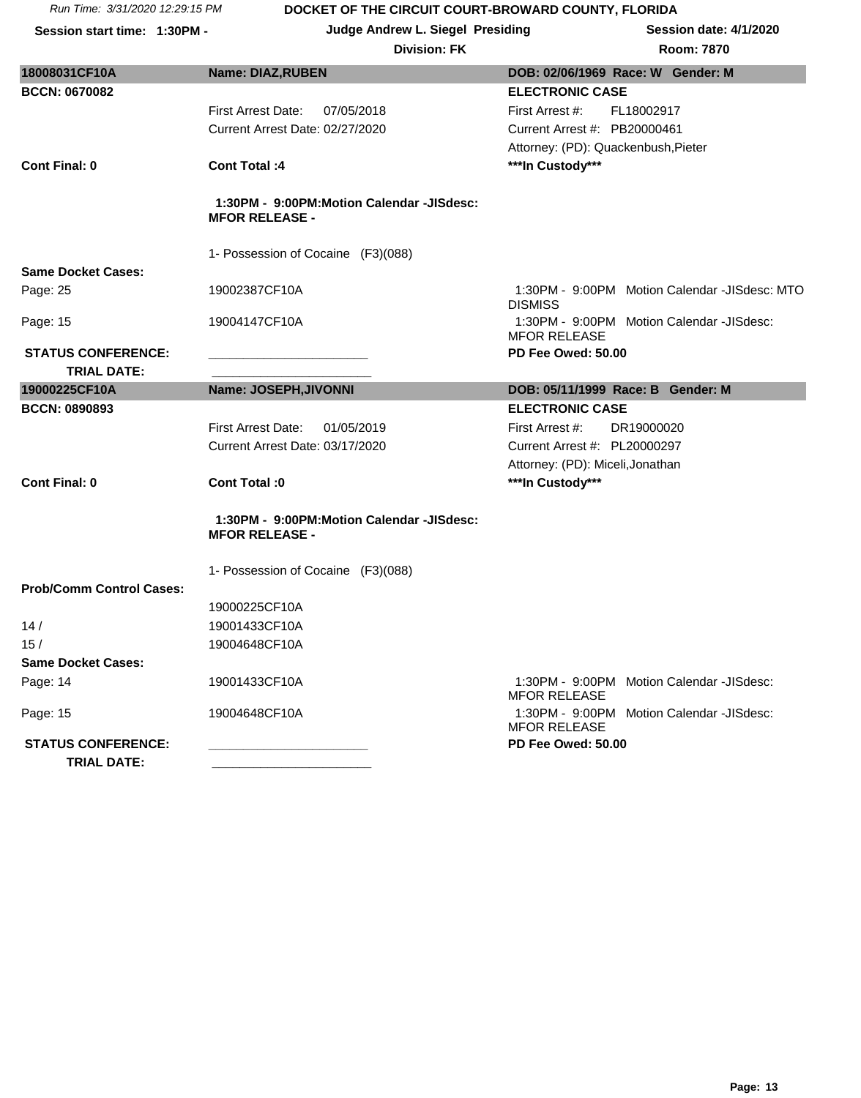**Session start time: 1:30PM - Judge Andrew L. Siegel Presiding Session date: 4/1/2020**

| 18008031CF10A                                   | <b>Name: DIAZ, RUBEN</b>                                           | DOB: 02/06/1969 Race: W Gender: M                                |  |  |  |
|-------------------------------------------------|--------------------------------------------------------------------|------------------------------------------------------------------|--|--|--|
| <b>BCCN: 0670082</b>                            |                                                                    | <b>ELECTRONIC CASE</b>                                           |  |  |  |
|                                                 | <b>First Arrest Date:</b><br>07/05/2018                            | First Arrest #:<br>FL18002917                                    |  |  |  |
|                                                 | Current Arrest Date: 02/27/2020                                    | Current Arrest #: PB20000461                                     |  |  |  |
|                                                 |                                                                    | Attorney: (PD): Quackenbush, Pieter                              |  |  |  |
| <b>Cont Final: 0</b>                            | <b>Cont Total: 4</b>                                               | ***In Custody***                                                 |  |  |  |
|                                                 | 1:30PM - 9:00PM:Motion Calendar -JISdesc:<br><b>MFOR RELEASE -</b> |                                                                  |  |  |  |
|                                                 | 1- Possession of Cocaine (F3)(088)                                 |                                                                  |  |  |  |
| <b>Same Docket Cases:</b>                       |                                                                    |                                                                  |  |  |  |
| Page: 25                                        | 19002387CF10A                                                      | 1:30PM - 9:00PM Motion Calendar -JISdesc: MTO<br><b>DISMISS</b>  |  |  |  |
| Page: 15                                        | 19004147CF10A                                                      | 1:30PM - 9:00PM Motion Calendar -JISdesc:<br><b>MFOR RELEASE</b> |  |  |  |
| <b>STATUS CONFERENCE:</b>                       |                                                                    | PD Fee Owed: 50.00                                               |  |  |  |
| <b>TRIAL DATE:</b>                              |                                                                    |                                                                  |  |  |  |
| 19000225CF10A                                   | Name: JOSEPH, JIVONNI                                              | DOB: 05/11/1999 Race: B Gender: M                                |  |  |  |
| <b>BCCN: 0890893</b>                            |                                                                    | <b>ELECTRONIC CASE</b>                                           |  |  |  |
|                                                 | <b>First Arrest Date:</b><br>01/05/2019                            | First Arrest #:<br>DR19000020                                    |  |  |  |
|                                                 | Current Arrest Date: 03/17/2020                                    | Current Arrest #: PL20000297                                     |  |  |  |
| <b>Cont Final: 0</b>                            | Cont Total: 0                                                      | Attorney: (PD): Miceli, Jonathan<br>***In Custody***             |  |  |  |
|                                                 |                                                                    |                                                                  |  |  |  |
|                                                 | 1:30PM - 9:00PM:Motion Calendar -JISdesc:<br><b>MFOR RELEASE -</b> |                                                                  |  |  |  |
|                                                 | 1- Possession of Cocaine (F3)(088)                                 |                                                                  |  |  |  |
| <b>Prob/Comm Control Cases:</b>                 |                                                                    |                                                                  |  |  |  |
|                                                 | 19000225CF10A                                                      |                                                                  |  |  |  |
| 14/                                             | 19001433CF10A                                                      |                                                                  |  |  |  |
| 15/                                             | 19004648CF10A                                                      |                                                                  |  |  |  |
| <b>Same Docket Cases:</b>                       |                                                                    |                                                                  |  |  |  |
| Page: 14                                        | 19001433CF10A                                                      | 1:30PM - 9:00PM Motion Calendar -JISdesc:<br><b>MFOR RELEASE</b> |  |  |  |
| Page: 15                                        | 19004648CF10A                                                      | 1:30PM - 9:00PM Motion Calendar -JISdesc:<br><b>MFOR RELEASE</b> |  |  |  |
| <b>STATUS CONFERENCE:</b><br><b>TRIAL DATE:</b> |                                                                    | PD Fee Owed: 50.00                                               |  |  |  |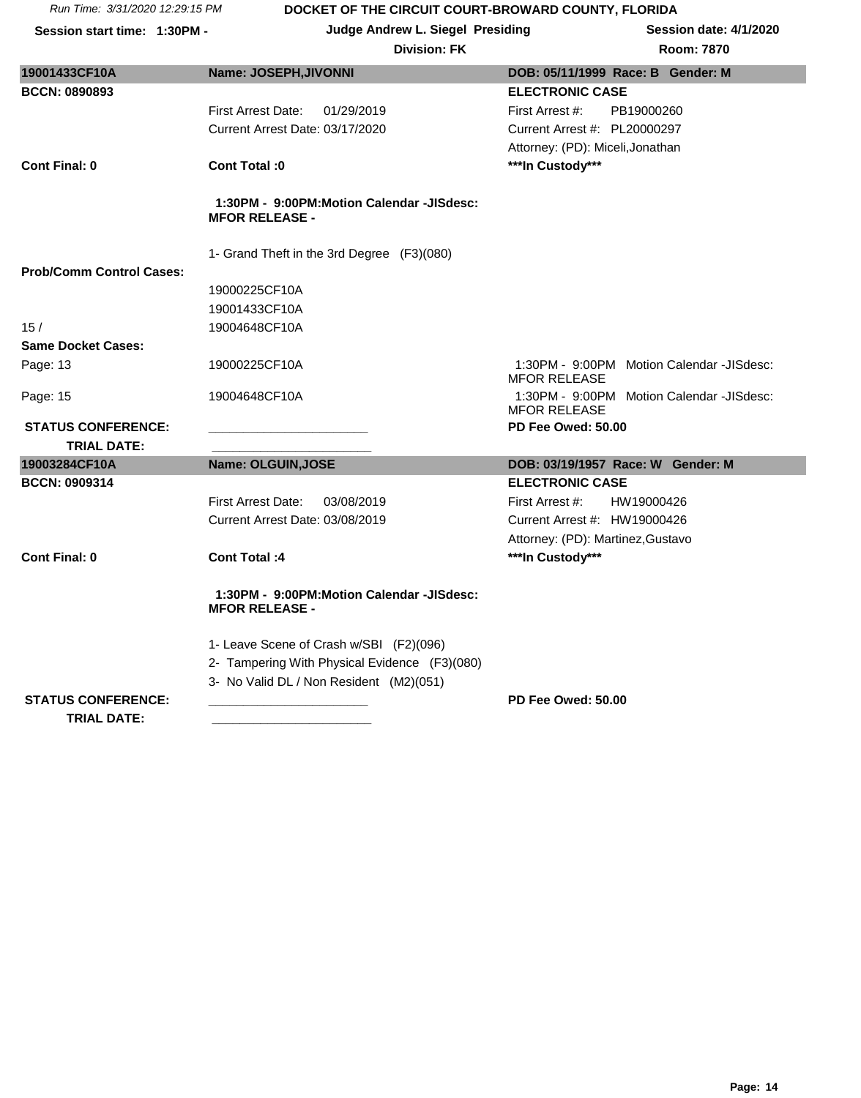**Session start time: 1:30PM - Judge Andrew L. Siegel Presiding Session date: 4/1/2020**

| Room: 787 |  |
|-----------|--|
|           |  |

| 19001433CF10A                   | Name: JOSEPH, JIVONNI                                              | DOB: 05/11/1999 Race: B Gender: M                                |
|---------------------------------|--------------------------------------------------------------------|------------------------------------------------------------------|
| <b>BCCN: 0890893</b>            |                                                                    | <b>ELECTRONIC CASE</b>                                           |
|                                 | <b>First Arrest Date:</b><br>01/29/2019                            | First Arrest #:<br>PB19000260                                    |
|                                 | Current Arrest Date: 03/17/2020                                    | Current Arrest #: PL20000297                                     |
|                                 |                                                                    | Attorney: (PD): Miceli, Jonathan                                 |
| <b>Cont Final: 0</b>            | Cont Total: 0                                                      | ***In Custody***                                                 |
|                                 | 1:30PM - 9:00PM:Motion Calendar -JISdesc:<br><b>MFOR RELEASE -</b> |                                                                  |
|                                 | 1- Grand Theft in the 3rd Degree (F3)(080)                         |                                                                  |
| <b>Prob/Comm Control Cases:</b> |                                                                    |                                                                  |
|                                 | 19000225CF10A                                                      |                                                                  |
|                                 | 19001433CF10A                                                      |                                                                  |
| 15/                             | 19004648CF10A                                                      |                                                                  |
| <b>Same Docket Cases:</b>       |                                                                    |                                                                  |
| Page: 13                        | 19000225CF10A                                                      | 1:30PM - 9:00PM Motion Calendar -JISdesc:<br><b>MFOR RELEASE</b> |
| Page: 15                        | 19004648CF10A                                                      | 1:30PM - 9:00PM Motion Calendar -JISdesc:<br><b>MFOR RELEASE</b> |
| <b>STATUS CONFERENCE:</b>       |                                                                    | PD Fee Owed: 50.00                                               |
| <b>TRIAL DATE:</b>              |                                                                    |                                                                  |
| 19003284CF10A                   | Name: OLGUIN, JOSE                                                 | DOB: 03/19/1957 Race: W Gender: M                                |
| <b>BCCN: 0909314</b>            |                                                                    | <b>ELECTRONIC CASE</b>                                           |
|                                 | <b>First Arrest Date:</b><br>03/08/2019                            | HW19000426<br>First Arrest #:                                    |
|                                 | Current Arrest Date: 03/08/2019                                    | Current Arrest #: HW19000426                                     |
|                                 |                                                                    | Attorney: (PD): Martinez, Gustavo                                |
| <b>Cont Final: 0</b>            | <b>Cont Total: 4</b>                                               | ***In Custody***                                                 |
|                                 | 1:30PM - 9:00PM:Motion Calendar -JISdesc:<br><b>MFOR RELEASE -</b> |                                                                  |
|                                 | 1- Leave Scene of Crash w/SBI (F2)(096)                            |                                                                  |
|                                 | 2- Tampering With Physical Evidence (F3)(080)                      |                                                                  |
|                                 | 3- No Valid DL / Non Resident (M2)(051)                            |                                                                  |
| <b>STATUS CONFERENCE:</b>       |                                                                    | PD Fee Owed: 50.00                                               |
| <b>TRIAL DATE:</b>              |                                                                    |                                                                  |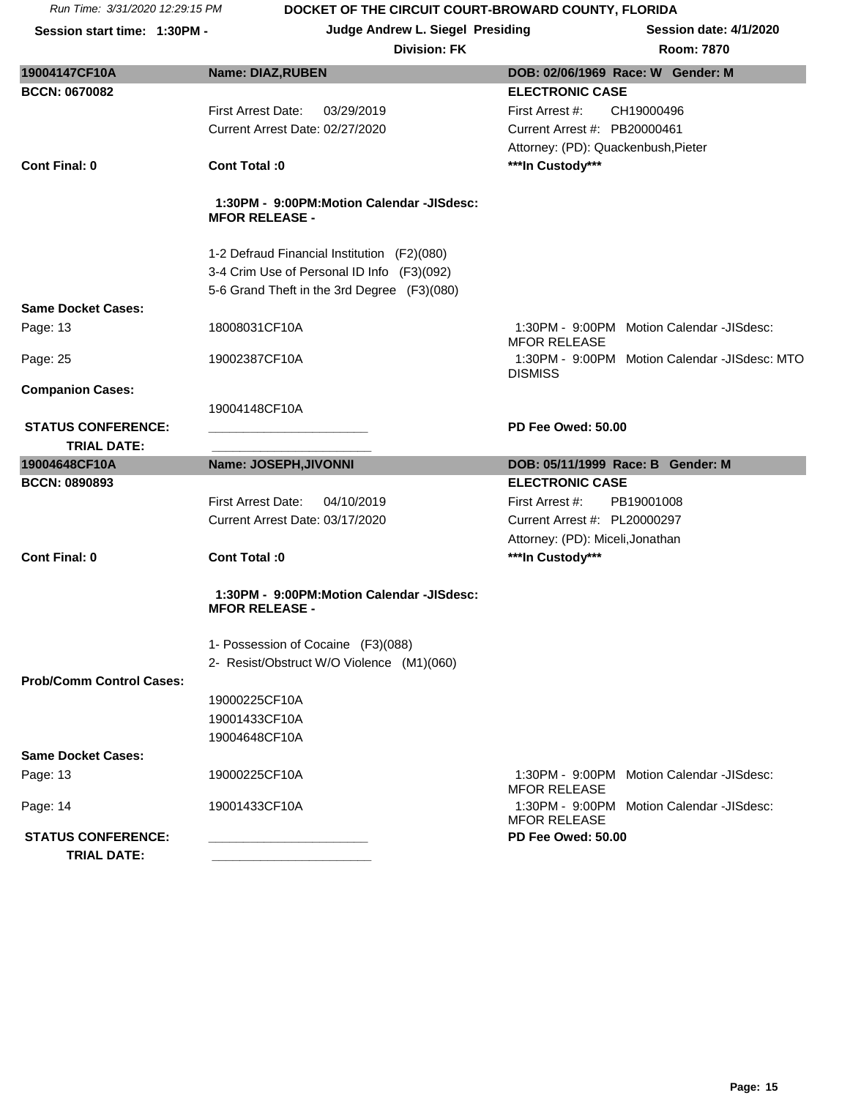**Session start time: 1:30PM - Judge Andrew L. Siegel Presiding Session date: 4/1/2020**

|  |  | Rc |
|--|--|----|
|  |  |    |

| 19004147CF10A                                   | <b>Name: DIAZ, RUBEN</b>                                           | DOB: 02/06/1969 Race: W Gender: M                                |
|-------------------------------------------------|--------------------------------------------------------------------|------------------------------------------------------------------|
| <b>BCCN: 0670082</b>                            |                                                                    | <b>ELECTRONIC CASE</b>                                           |
|                                                 | <b>First Arrest Date:</b><br>03/29/2019                            | First Arrest #:<br>CH19000496                                    |
|                                                 | Current Arrest Date: 02/27/2020                                    | Current Arrest #: PB20000461                                     |
|                                                 |                                                                    | Attorney: (PD): Quackenbush, Pieter                              |
| <b>Cont Final: 0</b>                            | Cont Total: 0                                                      | ***In Custody***                                                 |
|                                                 | 1:30PM - 9:00PM:Motion Calendar -JISdesc:<br><b>MFOR RELEASE -</b> |                                                                  |
|                                                 | 1-2 Defraud Financial Institution (F2)(080)                        |                                                                  |
|                                                 | 3-4 Crim Use of Personal ID Info (F3)(092)                         |                                                                  |
|                                                 | 5-6 Grand Theft in the 3rd Degree (F3)(080)                        |                                                                  |
| <b>Same Docket Cases:</b>                       |                                                                    |                                                                  |
| Page: 13                                        | 18008031CF10A                                                      | 1:30PM - 9:00PM Motion Calendar -JISdesc:<br><b>MFOR RELEASE</b> |
| Page: 25                                        | 19002387CF10A                                                      | 1:30PM - 9:00PM Motion Calendar -JISdesc: MTO<br><b>DISMISS</b>  |
| <b>Companion Cases:</b>                         |                                                                    |                                                                  |
|                                                 | 19004148CF10A                                                      |                                                                  |
| <b>STATUS CONFERENCE:</b>                       |                                                                    | PD Fee Owed: 50.00                                               |
| <b>TRIAL DATE:</b>                              |                                                                    |                                                                  |
| 19004648CF10A                                   | Name: JOSEPH, JIVONNI                                              | DOB: 05/11/1999 Race: B Gender: M                                |
| <b>BCCN: 0890893</b>                            |                                                                    | <b>ELECTRONIC CASE</b>                                           |
|                                                 | <b>First Arrest Date:</b><br>04/10/2019                            | First Arrest #:<br>PB19001008                                    |
|                                                 | Current Arrest Date: 03/17/2020                                    | Current Arrest #: PL20000297                                     |
|                                                 |                                                                    | Attorney: (PD): Miceli, Jonathan                                 |
| <b>Cont Final: 0</b>                            | Cont Total: 0                                                      | ***In Custody***                                                 |
|                                                 | 1:30PM - 9:00PM:Motion Calendar -JISdesc:<br><b>MFOR RELEASE -</b> |                                                                  |
|                                                 | 1- Possession of Cocaine (F3)(088)                                 |                                                                  |
|                                                 | 2- Resist/Obstruct W/O Violence (M1)(060)                          |                                                                  |
| <b>Prob/Comm Control Cases:</b>                 |                                                                    |                                                                  |
|                                                 | 19000225CF10A                                                      |                                                                  |
|                                                 | 19001433CF10A                                                      |                                                                  |
|                                                 | 19004648CF10A                                                      |                                                                  |
| <b>Same Docket Cases:</b>                       |                                                                    |                                                                  |
| Page: 13                                        | 19000225CF10A                                                      | 1:30PM - 9:00PM Motion Calendar -JISdesc:<br><b>MFOR RELEASE</b> |
| Page: 14                                        | 19001433CF10A                                                      | 1:30PM - 9:00PM Motion Calendar -JISdesc:                        |
|                                                 |                                                                    | <b>MFOR RELEASE</b>                                              |
| <b>STATUS CONFERENCE:</b><br><b>TRIAL DATE:</b> |                                                                    | PD Fee Owed: 50.00                                               |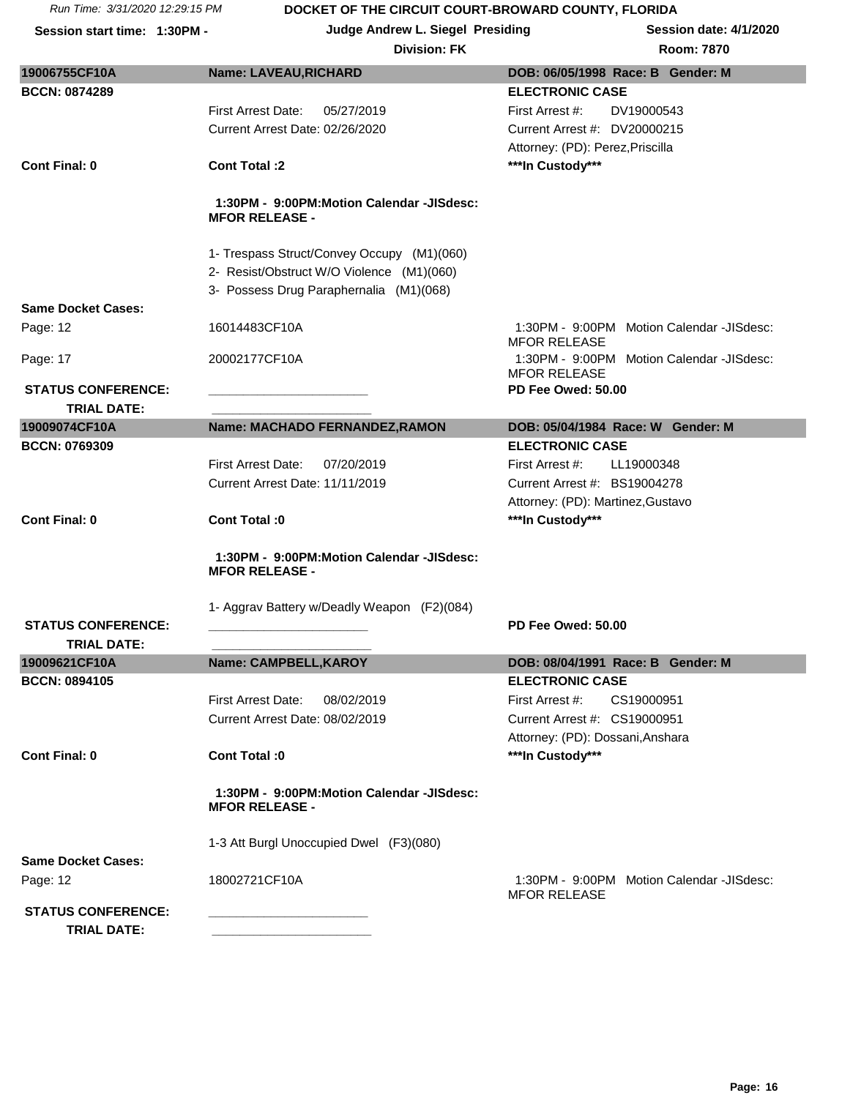**Session start time: 1:30PM - Judge Andrew L. Siegel Presiding Session date: 4/1/2020**

| 19006755CF10A             | <b>Name: LAVEAU, RICHARD</b>                                       | DOB: 06/05/1998 Race: B Gender: M                                |
|---------------------------|--------------------------------------------------------------------|------------------------------------------------------------------|
| <b>BCCN: 0874289</b>      |                                                                    | <b>ELECTRONIC CASE</b>                                           |
|                           | <b>First Arrest Date:</b><br>05/27/2019                            | First Arrest #:<br>DV19000543                                    |
|                           | Current Arrest Date: 02/26/2020                                    | Current Arrest #: DV20000215                                     |
|                           |                                                                    | Attorney: (PD): Perez, Priscilla                                 |
| <b>Cont Final: 0</b>      | <b>Cont Total:2</b>                                                | ***In Custody***                                                 |
|                           | 1:30PM - 9:00PM:Motion Calendar -JISdesc:<br><b>MFOR RELEASE -</b> |                                                                  |
|                           | 1- Trespass Struct/Convey Occupy (M1)(060)                         |                                                                  |
|                           | 2- Resist/Obstruct W/O Violence (M1)(060)                          |                                                                  |
|                           | 3- Possess Drug Paraphernalia (M1)(068)                            |                                                                  |
| <b>Same Docket Cases:</b> |                                                                    |                                                                  |
| Page: 12                  | 16014483CF10A                                                      | 1:30PM - 9:00PM Motion Calendar -JISdesc:<br><b>MFOR RELEASE</b> |
| Page: 17                  | 20002177CF10A                                                      | 1:30PM - 9:00PM Motion Calendar -JISdesc:<br><b>MFOR RELEASE</b> |
| <b>STATUS CONFERENCE:</b> | the control of the control of the control of                       | PD Fee Owed: 50.00                                               |
| <b>TRIAL DATE:</b>        |                                                                    |                                                                  |
| 19009074CF10A             | Name: MACHADO FERNANDEZ, RAMON                                     | DOB: 05/04/1984 Race: W Gender: M                                |
| <b>BCCN: 0769309</b>      |                                                                    | <b>ELECTRONIC CASE</b>                                           |
|                           | <b>First Arrest Date:</b><br>07/20/2019                            | First Arrest #:<br>LL19000348                                    |
|                           | Current Arrest Date: 11/11/2019                                    | Current Arrest #: BS19004278                                     |
|                           |                                                                    | Attorney: (PD): Martinez, Gustavo                                |
| <b>Cont Final: 0</b>      | Cont Total: 0                                                      | ***In Custody***                                                 |
|                           | 1:30PM - 9:00PM:Motion Calendar -JISdesc:<br><b>MFOR RELEASE -</b> |                                                                  |
|                           |                                                                    |                                                                  |
| <b>STATUS CONFERENCE:</b> | 1- Aggrav Battery w/Deadly Weapon (F2)(084)                        | PD Fee Owed: 50.00                                               |
| <b>TRIAL DATE:</b>        |                                                                    |                                                                  |
| 19009621CF10A             |                                                                    |                                                                  |
|                           | <b>Name: CAMPBELL, KAROY</b>                                       | DOB: 08/04/1991 Race: B Gender: M                                |
| <b>BCCN: 0894105</b>      |                                                                    | <b>ELECTRONIC CASE</b>                                           |
|                           | First Arrest Date:<br>08/02/2019                                   | First Arrest #:<br>CS19000951                                    |
|                           | Current Arrest Date: 08/02/2019                                    | Current Arrest #: CS19000951                                     |
|                           |                                                                    | Attorney: (PD): Dossani, Anshara                                 |
| <b>Cont Final: 0</b>      | Cont Total :0                                                      | ***In Custody***                                                 |
|                           | 1:30PM - 9:00PM:Motion Calendar -JISdesc:<br><b>MFOR RELEASE -</b> |                                                                  |
|                           | 1-3 Att Burgl Unoccupied Dwel (F3)(080)                            |                                                                  |
| <b>Same Docket Cases:</b> |                                                                    |                                                                  |
|                           | 18002721CF10A                                                      | 1:30PM - 9:00PM Motion Calendar -JISdesc:                        |
| Page: 12                  |                                                                    | <b>MFOR RELEASE</b>                                              |
| <b>STATUS CONFERENCE:</b> |                                                                    |                                                                  |
| <b>TRIAL DATE:</b>        |                                                                    |                                                                  |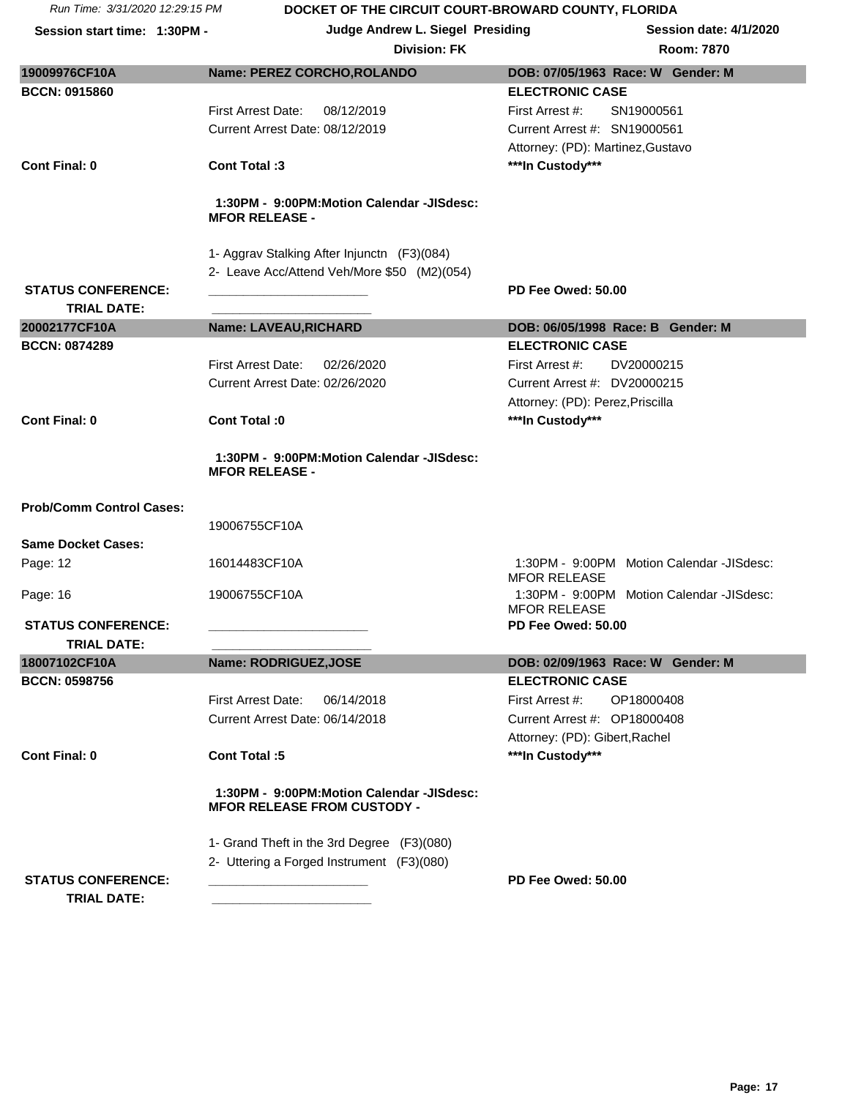| Run Time: 3/31/2020 12:29:15 PM                 | DOCKET OF THE CIRCUIT COURT-BROWARD COUNTY, FLORIDA                             |                                                                  |
|-------------------------------------------------|---------------------------------------------------------------------------------|------------------------------------------------------------------|
| Session start time: 1:30PM -                    | Judge Andrew L. Siegel Presiding                                                | <b>Session date: 4/1/2020</b>                                    |
|                                                 | <b>Division: FK</b>                                                             | Room: 7870                                                       |
| 19009976CF10A                                   | Name: PEREZ CORCHO, ROLANDO                                                     | DOB: 07/05/1963 Race: W Gender: M                                |
| <b>BCCN: 0915860</b>                            |                                                                                 | <b>ELECTRONIC CASE</b>                                           |
|                                                 | <b>First Arrest Date:</b><br>08/12/2019                                         | First Arrest #:<br>SN19000561                                    |
|                                                 | Current Arrest Date: 08/12/2019                                                 | Current Arrest #: SN19000561                                     |
|                                                 |                                                                                 | Attorney: (PD): Martinez, Gustavo                                |
| <b>Cont Final: 0</b>                            | <b>Cont Total:3</b>                                                             | ***In Custody***                                                 |
|                                                 | 1:30PM - 9:00PM:Motion Calendar -JISdesc:<br><b>MFOR RELEASE -</b>              |                                                                  |
|                                                 | 1- Aggrav Stalking After Injunctn (F3)(084)                                     |                                                                  |
|                                                 | 2- Leave Acc/Attend Veh/More \$50 (M2)(054)                                     |                                                                  |
| <b>STATUS CONFERENCE:</b>                       |                                                                                 | PD Fee Owed: 50.00                                               |
| <b>TRIAL DATE:</b>                              |                                                                                 |                                                                  |
| 20002177CF10A                                   | <b>Name: LAVEAU, RICHARD</b>                                                    | DOB: 06/05/1998 Race: B Gender: M                                |
| <b>BCCN: 0874289</b>                            |                                                                                 | <b>ELECTRONIC CASE</b>                                           |
|                                                 | First Arrest Date:<br>02/26/2020                                                | First Arrest #:<br>DV20000215                                    |
|                                                 | Current Arrest Date: 02/26/2020                                                 | Current Arrest #: DV20000215                                     |
|                                                 |                                                                                 | Attorney: (PD): Perez, Priscilla                                 |
| <b>Cont Final: 0</b>                            | Cont Total: 0                                                                   | ***In Custody***                                                 |
|                                                 | 1:30PM - 9:00PM:Motion Calendar -JISdesc:<br><b>MFOR RELEASE -</b>              |                                                                  |
| <b>Prob/Comm Control Cases:</b>                 |                                                                                 |                                                                  |
|                                                 | 19006755CF10A                                                                   |                                                                  |
| <b>Same Docket Cases:</b>                       |                                                                                 |                                                                  |
| Page: 12                                        | 16014483CF10A                                                                   | 1:30PM - 9:00PM Motion Calendar -JISdesc:<br><b>MFOR RELEASE</b> |
| Page: 16                                        | 19006755CF10A                                                                   | 1:30PM - 9:00PM Motion Calendar -JISdesc:<br><b>MFOR RELEASE</b> |
| <b>STATUS CONFERENCE:</b>                       |                                                                                 | PD Fee Owed: 50.00                                               |
| <b>TRIAL DATE:</b><br>18007102CF10A             | Name: RODRIGUEZ, JOSE                                                           | DOB: 02/09/1963 Race: W Gender: M                                |
| <b>BCCN: 0598756</b>                            |                                                                                 | <b>ELECTRONIC CASE</b>                                           |
|                                                 | <b>First Arrest Date:</b><br>06/14/2018                                         | First Arrest #:<br>OP18000408                                    |
|                                                 | Current Arrest Date: 06/14/2018                                                 | Current Arrest #: OP18000408                                     |
|                                                 |                                                                                 | Attorney: (PD): Gibert, Rachel                                   |
| <b>Cont Final: 0</b>                            | Cont Total:5                                                                    | ***In Custody***                                                 |
|                                                 | 1:30PM - 9:00PM:Motion Calendar -JISdesc:<br><b>MFOR RELEASE FROM CUSTODY -</b> |                                                                  |
|                                                 |                                                                                 |                                                                  |
|                                                 | 1- Grand Theft in the 3rd Degree (F3)(080)                                      |                                                                  |
|                                                 | 2- Uttering a Forged Instrument (F3)(080)                                       |                                                                  |
| <b>STATUS CONFERENCE:</b><br><b>TRIAL DATE:</b> |                                                                                 | PD Fee Owed: 50.00                                               |

**Page: 17**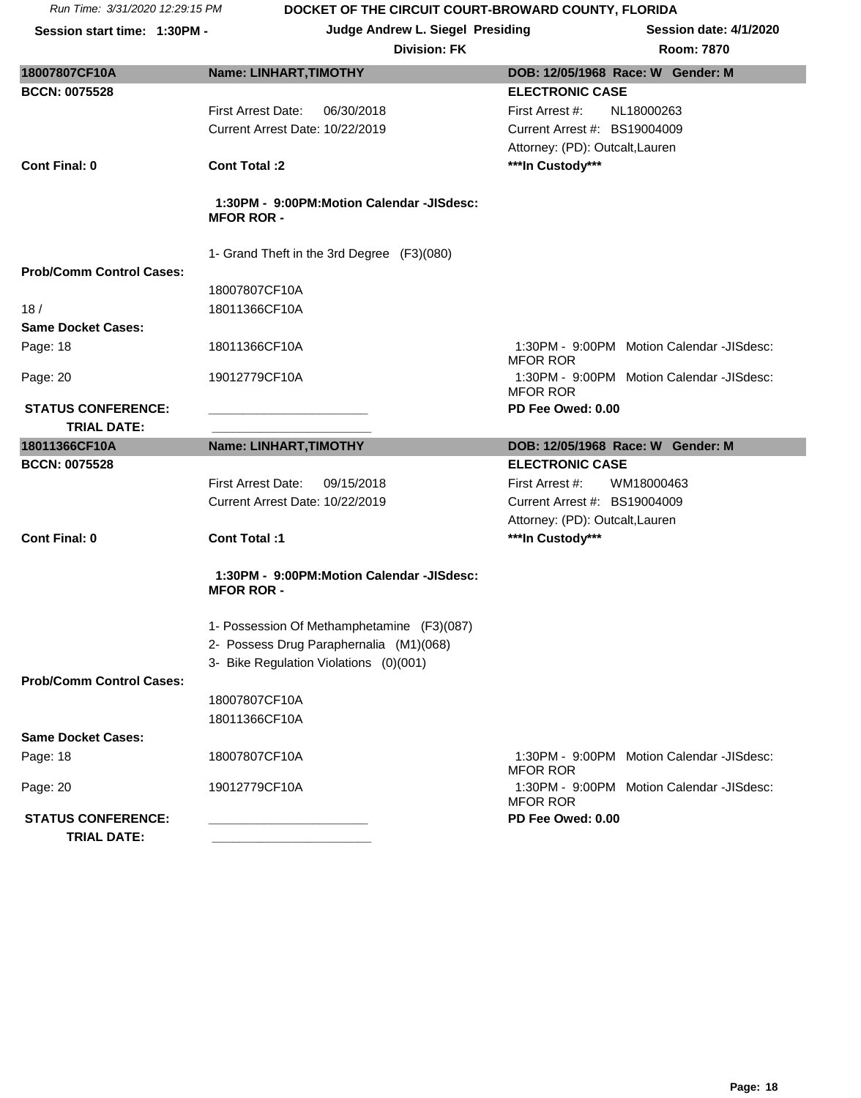**Session start time: 1:30PM - Judge Andrew L. Siegel Presiding Session date: 4/1/2020**

|                                 |                                            | <b>NUUIII.</b> 1010                                          |
|---------------------------------|--------------------------------------------|--------------------------------------------------------------|
| 18007807CF10A                   | Name: LINHART, TIMOTHY                     | DOB: 12/05/1968 Race: W Gender: M                            |
| <b>BCCN: 0075528</b>            |                                            | <b>ELECTRONIC CASE</b>                                       |
|                                 | <b>First Arrest Date:</b><br>06/30/2018    | First Arrest #:<br>NL18000263                                |
|                                 | Current Arrest Date: 10/22/2019            | Current Arrest #: BS19004009                                 |
|                                 |                                            | Attorney: (PD): Outcalt, Lauren                              |
| <b>Cont Final: 0</b>            | <b>Cont Total:2</b>                        | ***In Custody***                                             |
|                                 |                                            |                                                              |
|                                 | 1:30PM - 9:00PM:Motion Calendar -JISdesc:  |                                                              |
|                                 | <b>MFOR ROR-</b>                           |                                                              |
|                                 |                                            |                                                              |
| <b>Prob/Comm Control Cases:</b> | 1- Grand Theft in the 3rd Degree (F3)(080) |                                                              |
|                                 |                                            |                                                              |
|                                 | 18007807CF10A                              |                                                              |
| 18/                             | 18011366CF10A                              |                                                              |
| <b>Same Docket Cases:</b>       |                                            |                                                              |
| Page: 18                        | 18011366CF10A                              | 1:30PM - 9:00PM Motion Calendar -JISdesc:<br><b>MFOR ROR</b> |
| Page: 20                        | 19012779CF10A                              | 1:30PM - 9:00PM Motion Calendar -JISdesc:<br><b>MFOR ROR</b> |
| <b>STATUS CONFERENCE:</b>       |                                            | PD Fee Owed: 0.00                                            |
| <b>TRIAL DATE:</b>              |                                            |                                                              |
| 18011366CF10A                   | Name: LINHART, TIMOTHY                     | DOB: 12/05/1968 Race: W Gender: M                            |
| <b>BCCN: 0075528</b>            |                                            | <b>ELECTRONIC CASE</b>                                       |
|                                 | <b>First Arrest Date:</b><br>09/15/2018    | First Arrest #:<br>WM18000463                                |
|                                 | Current Arrest Date: 10/22/2019            | Current Arrest #: BS19004009                                 |
|                                 |                                            | Attorney: (PD): Outcalt, Lauren                              |
| <b>Cont Final: 0</b>            | Cont Total:1                               | ***In Custody***                                             |
|                                 |                                            |                                                              |
|                                 | 1:30PM - 9:00PM:Motion Calendar -JISdesc:  |                                                              |
|                                 | <b>MFOR ROR -</b>                          |                                                              |
|                                 |                                            |                                                              |
|                                 | 1- Possession Of Methamphetamine (F3)(087) |                                                              |
|                                 | 2- Possess Drug Paraphernalia (M1)(068)    |                                                              |
|                                 | 3- Bike Regulation Violations (0)(001)     |                                                              |
| <b>Prob/Comm Control Cases:</b> |                                            |                                                              |
|                                 | 18007807CF10A                              |                                                              |
|                                 | 18011366CF10A                              |                                                              |
| <b>Same Docket Cases:</b>       |                                            |                                                              |
| Page: 18                        | 18007807CF10A                              | 1:30PM - 9:00PM Motion Calendar -JISdesc:<br><b>MFOR ROR</b> |
| Page: 20                        | 19012779CF10A                              | 1:30PM - 9:00PM Motion Calendar -JISdesc:                    |
| <b>STATUS CONFERENCE:</b>       |                                            | <b>MFOR ROR</b>                                              |
|                                 |                                            | PD Fee Owed: 0.00                                            |
| <b>TRIAL DATE:</b>              |                                            |                                                              |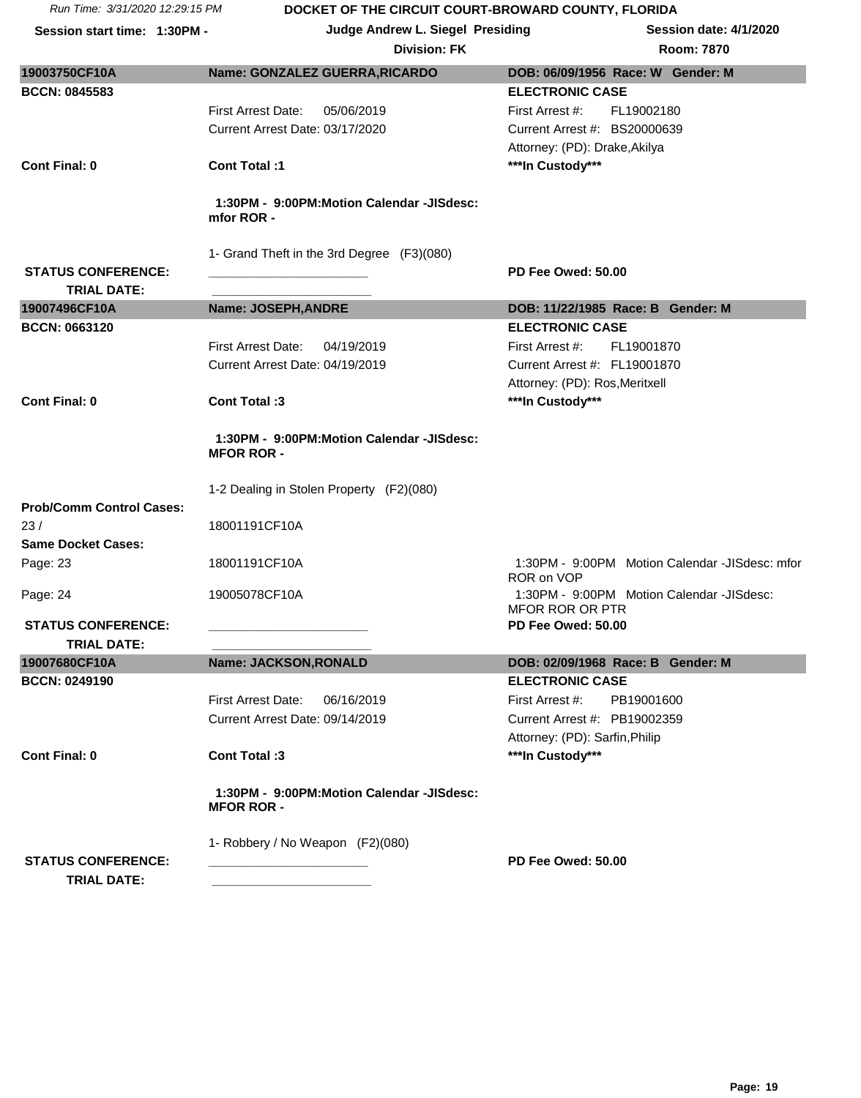| Run Time: 3/31/2020 12:29:15 PM |                                                                | DOCKET OF THE CIRCUIT COURT-BROWARD COUNTY, FLORIDA          |
|---------------------------------|----------------------------------------------------------------|--------------------------------------------------------------|
| Session start time: 1:30PM -    | <b>Judge Andrew L. Siegel Presiding</b>                        | <b>Session date: 4/1/2020</b>                                |
|                                 | <b>Division: FK</b>                                            | <b>Room: 7870</b>                                            |
| 19003750CF10A                   | Name: GONZALEZ GUERRA, RICARDO                                 | DOB: 06/09/1956 Race: W Gender: M                            |
| <b>BCCN: 0845583</b>            |                                                                | <b>ELECTRONIC CASE</b>                                       |
|                                 | First Arrest Date:<br>05/06/2019                               | First Arrest #:<br>FL19002180                                |
|                                 | Current Arrest Date: 03/17/2020                                | Current Arrest #: BS20000639                                 |
|                                 |                                                                | Attorney: (PD): Drake, Akilya                                |
| <b>Cont Final: 0</b>            | <b>Cont Total:1</b>                                            | ***In Custody***                                             |
|                                 | 1:30PM - 9:00PM:Motion Calendar -JISdesc:<br>mfor ROR -        |                                                              |
|                                 | 1- Grand Theft in the 3rd Degree (F3)(080)                     |                                                              |
| <b>STATUS CONFERENCE:</b>       |                                                                | PD Fee Owed: 50.00                                           |
| <b>TRIAL DATE:</b>              |                                                                |                                                              |
| 19007496CF10A                   | <b>Name: JOSEPH, ANDRE</b>                                     | DOB: 11/22/1985 Race: B Gender: M                            |
| <b>BCCN: 0663120</b>            |                                                                | <b>ELECTRONIC CASE</b>                                       |
|                                 | <b>First Arrest Date:</b><br>04/19/2019                        | First Arrest #:<br>FL19001870                                |
|                                 | Current Arrest Date: 04/19/2019                                | Current Arrest #: FL19001870                                 |
|                                 |                                                                | Attorney: (PD): Ros, Meritxell                               |
| <b>Cont Final: 0</b>            | Cont Total: 3                                                  | ***In Custody***                                             |
|                                 | 1:30PM - 9:00PM:Motion Calendar -JISdesc:<br><b>MFOR ROR -</b> |                                                              |
|                                 | 1-2 Dealing in Stolen Property (F2)(080)                       |                                                              |
| <b>Prob/Comm Control Cases:</b> |                                                                |                                                              |
| 23/                             | 18001191CF10A                                                  |                                                              |
| <b>Same Docket Cases:</b>       |                                                                |                                                              |
| Page: 23                        | 18001191CF10A                                                  | 1:30PM - 9:00PM Motion Calendar -JISdesc: mfor<br>ROR on VOP |
| Page: 24                        | 19005078CF10A                                                  | 1:30PM - 9:00PM Motion Calendar -JISdesc:<br>MFOR ROR OR PTR |
| <b>STATUS CONFERENCE:</b>       |                                                                | PD Fee Owed: 50.00                                           |
| <b>TRIAL DATE:</b>              |                                                                |                                                              |
| 19007680CF10A                   | Name: JACKSON, RONALD                                          | DOB: 02/09/1968 Race: B Gender: M                            |
| <b>BCCN: 0249190</b>            |                                                                | <b>ELECTRONIC CASE</b>                                       |
|                                 | <b>First Arrest Date:</b><br>06/16/2019                        | First Arrest #:<br>PB19001600                                |
|                                 | Current Arrest Date: 09/14/2019                                | Current Arrest #: PB19002359                                 |
|                                 |                                                                | Attorney: (PD): Sarfin, Philip                               |
| <b>Cont Final: 0</b>            | Cont Total:3                                                   | ***In Custody***                                             |
|                                 | 1:30PM - 9:00PM:Motion Calendar -JISdesc:<br><b>MFOR ROR -</b> |                                                              |
| <b>STATUS CONFERENCE:</b>       | 1- Robbery / No Weapon (F2)(080)                               | PD Fee Owed: 50.00                                           |
| <b>TRIAL DATE:</b>              |                                                                |                                                              |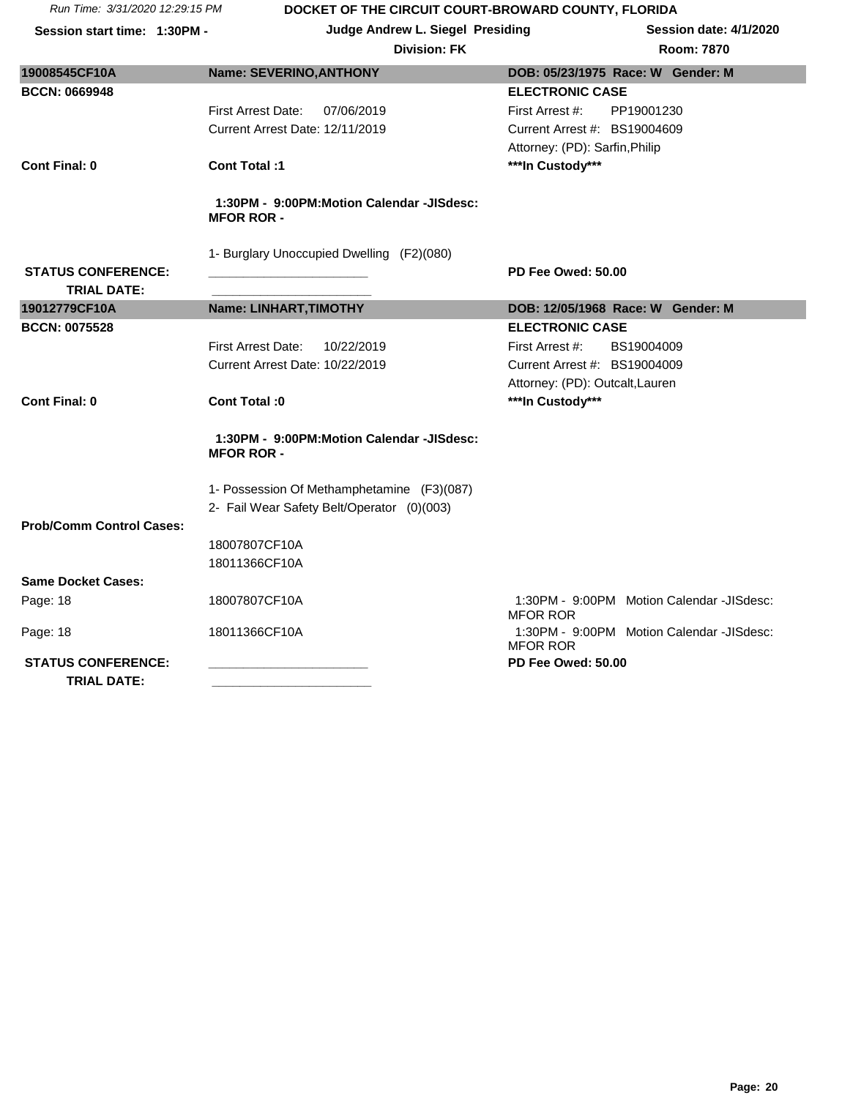**Session start time: 1:30PM - Judge Andrew L. Siegel Presiding Session date: 4/1/2020**

| 19008545CF10A                                   | <b>Name: SEVERINO, ANTHONY</b>                                 | DOB: 05/23/1975 Race: W Gender: M                            |
|-------------------------------------------------|----------------------------------------------------------------|--------------------------------------------------------------|
| <b>BCCN: 0669948</b>                            |                                                                | <b>ELECTRONIC CASE</b>                                       |
|                                                 | <b>First Arrest Date:</b><br>07/06/2019                        | First Arrest #:<br>PP19001230                                |
|                                                 | Current Arrest Date: 12/11/2019                                | Current Arrest #: BS19004609                                 |
|                                                 |                                                                | Attorney: (PD): Sarfin, Philip                               |
| <b>Cont Final: 0</b>                            | Cont Total :1                                                  | ***In Custody***                                             |
|                                                 |                                                                |                                                              |
|                                                 | 1:30PM - 9:00PM:Motion Calendar -JISdesc:<br><b>MFOR ROR -</b> |                                                              |
|                                                 | 1- Burglary Unoccupied Dwelling (F2)(080)                      |                                                              |
| <b>STATUS CONFERENCE:</b>                       |                                                                | PD Fee Owed: 50.00                                           |
| <b>TRIAL DATE:</b>                              |                                                                |                                                              |
| 19012779CF10A                                   | Name: LINHART, TIMOTHY                                         | DOB: 12/05/1968 Race: W Gender: M                            |
| <b>BCCN: 0075528</b>                            |                                                                | <b>ELECTRONIC CASE</b>                                       |
|                                                 | <b>First Arrest Date:</b><br>10/22/2019                        | First Arrest #:<br>BS19004009                                |
|                                                 | Current Arrest Date: 10/22/2019                                | Current Arrest #: BS19004009                                 |
|                                                 |                                                                | Attorney: (PD): Outcalt, Lauren                              |
| <b>Cont Final: 0</b>                            | Cont Total: 0                                                  | ***In Custody***                                             |
|                                                 | 1:30PM - 9:00PM:Motion Calendar -JISdesc:<br><b>MFOR ROR -</b> |                                                              |
|                                                 | 1- Possession Of Methamphetamine (F3)(087)                     |                                                              |
|                                                 | 2- Fail Wear Safety Belt/Operator (0)(003)                     |                                                              |
| <b>Prob/Comm Control Cases:</b>                 |                                                                |                                                              |
|                                                 | 18007807CF10A                                                  |                                                              |
|                                                 | 18011366CF10A                                                  |                                                              |
| <b>Same Docket Cases:</b>                       |                                                                |                                                              |
| Page: 18                                        | 18007807CF10A                                                  | 1:30PM - 9:00PM Motion Calendar -JISdesc:<br><b>MFOR ROR</b> |
| Page: 18                                        | 18011366CF10A                                                  | 1:30PM - 9:00PM Motion Calendar -JISdesc:<br><b>MFOR ROR</b> |
| <b>STATUS CONFERENCE:</b><br><b>TRIAL DATE:</b> |                                                                | PD Fee Owed: 50.00                                           |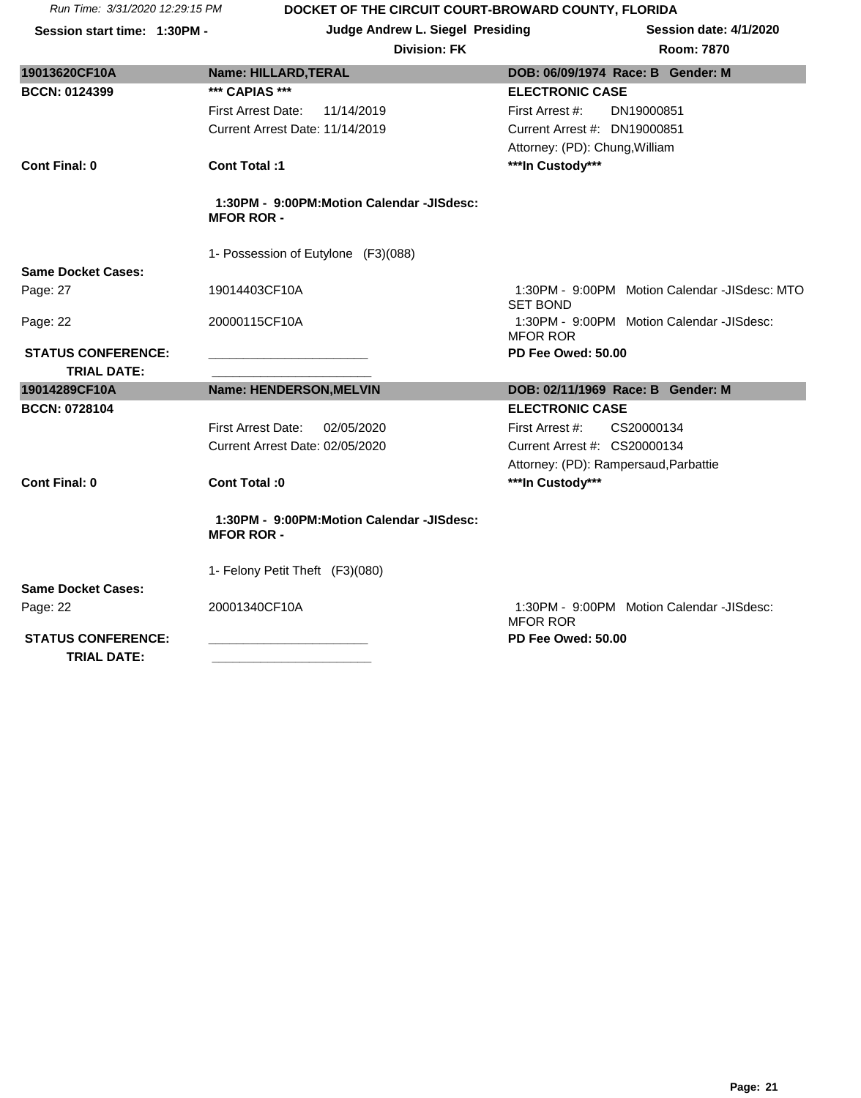**Session start time: 1:30PM - Judge Andrew L. Siegel Presiding Session date: 4/1/2020**

| 19013620CF10A                                   | Name: HILLARD, TERAL                                           | DOB: 06/09/1974 Race: B Gender: M                                |
|-------------------------------------------------|----------------------------------------------------------------|------------------------------------------------------------------|
| <b>BCCN: 0124399</b>                            | *** CAPIAS ***                                                 | <b>ELECTRONIC CASE</b>                                           |
|                                                 | 11/14/2019<br><b>First Arrest Date:</b>                        | First Arrest #:<br>DN19000851                                    |
|                                                 | Current Arrest Date: 11/14/2019                                | Current Arrest #: DN19000851                                     |
|                                                 |                                                                | Attorney: (PD): Chung, William                                   |
| <b>Cont Final: 0</b>                            | Cont Total:1                                                   | ***In Custody***                                                 |
|                                                 | 1:30PM - 9:00PM:Motion Calendar -JISdesc:<br><b>MFOR ROR -</b> |                                                                  |
|                                                 | 1- Possession of Eutylone (F3)(088)                            |                                                                  |
| <b>Same Docket Cases:</b>                       |                                                                |                                                                  |
| Page: 27                                        | 19014403CF10A                                                  | 1:30PM - 9:00PM Motion Calendar -JISdesc: MTO<br><b>SET BOND</b> |
| Page: 22                                        | 20000115CF10A                                                  | 1:30PM - 9:00PM Motion Calendar -JISdesc:<br><b>MFOR ROR</b>     |
| <b>STATUS CONFERENCE:</b>                       |                                                                | PD Fee Owed: 50.00                                               |
| <b>TRIAL DATE:</b>                              |                                                                |                                                                  |
| 19014289CF10A                                   | Name: HENDERSON, MELVIN                                        | DOB: 02/11/1969 Race: B Gender: M                                |
| <b>BCCN: 0728104</b>                            |                                                                | <b>ELECTRONIC CASE</b>                                           |
|                                                 | <b>First Arrest Date:</b><br>02/05/2020                        | First Arrest #:<br>CS20000134                                    |
|                                                 | Current Arrest Date: 02/05/2020                                | Current Arrest #: CS20000134                                     |
|                                                 |                                                                | Attorney: (PD): Rampersaud, Parbattie                            |
| <b>Cont Final: 0</b>                            | Cont Total: 0                                                  | ***In Custody***                                                 |
|                                                 | 1:30PM - 9:00PM:Motion Calendar -JISdesc:<br><b>MFOR ROR -</b> |                                                                  |
|                                                 | 1- Felony Petit Theft (F3)(080)                                |                                                                  |
| <b>Same Docket Cases:</b>                       |                                                                |                                                                  |
| Page: 22                                        | 20001340CF10A                                                  | 1:30PM - 9:00PM Motion Calendar -JISdesc:<br><b>MFOR ROR</b>     |
| <b>STATUS CONFERENCE:</b><br><b>TRIAL DATE:</b> |                                                                | PD Fee Owed: 50.00                                               |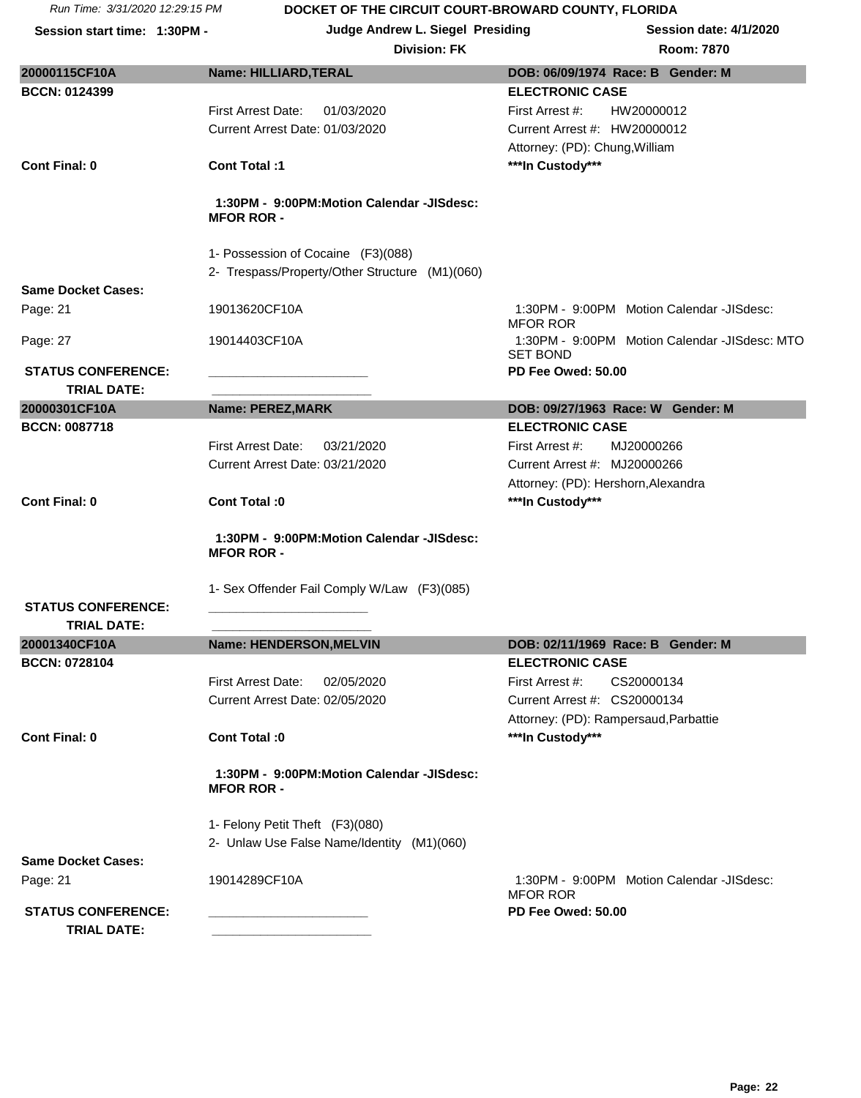**Session start time: 1:30PM - Judge Andrew L. Siegel Presiding Session date: 4/1/2020**

## $Division: FK$

|                           | רוטופועוט.                                                     | <b>RUUIII.</b> 1010                                              |
|---------------------------|----------------------------------------------------------------|------------------------------------------------------------------|
| 20000115CF10A             | Name: HILLIARD, TERAL                                          | DOB: 06/09/1974 Race: B Gender: M                                |
| <b>BCCN: 0124399</b>      |                                                                | <b>ELECTRONIC CASE</b>                                           |
|                           | First Arrest Date:<br>01/03/2020                               | First Arrest #:<br>HW20000012                                    |
|                           | Current Arrest Date: 01/03/2020                                | Current Arrest #: HW20000012                                     |
|                           |                                                                | Attorney: (PD): Chung, William                                   |
| <b>Cont Final: 0</b>      | <b>Cont Total:1</b>                                            | ***In Custody***                                                 |
|                           |                                                                |                                                                  |
|                           | 1:30PM - 9:00PM:Motion Calendar -JISdesc:<br><b>MFOR ROR -</b> |                                                                  |
|                           | 1- Possession of Cocaine (F3)(088)                             |                                                                  |
|                           | 2- Trespass/Property/Other Structure (M1)(060)                 |                                                                  |
| <b>Same Docket Cases:</b> |                                                                |                                                                  |
| Page: 21                  | 19013620CF10A                                                  | 1:30PM - 9:00PM Motion Calendar -JISdesc:<br><b>MFOR ROR</b>     |
| Page: 27                  | 19014403CF10A                                                  | 1:30PM - 9:00PM Motion Calendar -JISdesc: MTO<br><b>SET BOND</b> |
| <b>STATUS CONFERENCE:</b> |                                                                | PD Fee Owed: 50.00                                               |
| <b>TRIAL DATE:</b>        |                                                                |                                                                  |
| 20000301CF10A             | <b>Name: PEREZ, MARK</b>                                       | DOB: 09/27/1963 Race: W Gender: M                                |
| <b>BCCN: 0087718</b>      |                                                                | <b>ELECTRONIC CASE</b>                                           |
|                           | <b>First Arrest Date:</b><br>03/21/2020                        | First Arrest #:<br>MJ20000266                                    |
|                           | Current Arrest Date: 03/21/2020                                | Current Arrest #: MJ20000266                                     |
|                           |                                                                | Attorney: (PD): Hershorn, Alexandra                              |
| <b>Cont Final: 0</b>      | Cont Total :0                                                  | ***In Custody***                                                 |
|                           |                                                                |                                                                  |
|                           | 1:30PM - 9:00PM:Motion Calendar -JISdesc:<br><b>MFOR ROR -</b> |                                                                  |
|                           | 1- Sex Offender Fail Comply W/Law (F3)(085)                    |                                                                  |
| <b>STATUS CONFERENCE:</b> |                                                                |                                                                  |
| <b>TRIAL DATE:</b>        |                                                                |                                                                  |
| 20001340CF10A             | Name: HENDERSON, MELVIN                                        | DOB: 02/11/1969 Race: B Gender: M                                |
| <b>BCCN: 0728104</b>      |                                                                | <b>ELECTRONIC CASE</b>                                           |
|                           | <b>First Arrest Date:</b><br>02/05/2020                        | First Arrest #:<br>CS20000134                                    |
|                           | Current Arrest Date: 02/05/2020                                | Current Arrest #: CS20000134                                     |
|                           |                                                                | Attorney: (PD): Rampersaud, Parbattie                            |
| <b>Cont Final: 0</b>      | Cont Total :0                                                  | ***In Custody***                                                 |
|                           | 1:30PM - 9:00PM:Motion Calendar -JISdesc:<br><b>MFOR ROR -</b> |                                                                  |
|                           |                                                                |                                                                  |
|                           | 1- Felony Petit Theft (F3)(080)                                |                                                                  |
|                           | 2- Unlaw Use False Name/Identity (M1)(060)                     |                                                                  |
| <b>Same Docket Cases:</b> |                                                                |                                                                  |
| Page: 21                  | 19014289CF10A                                                  | 1:30PM - 9:00PM Motion Calendar -JISdesc:<br><b>MFOR ROR</b>     |
| <b>STATUS CONFERENCE:</b> |                                                                | PD Fee Owed: 50.00                                               |
| <b>TRIAL DATE:</b>        |                                                                |                                                                  |
|                           |                                                                |                                                                  |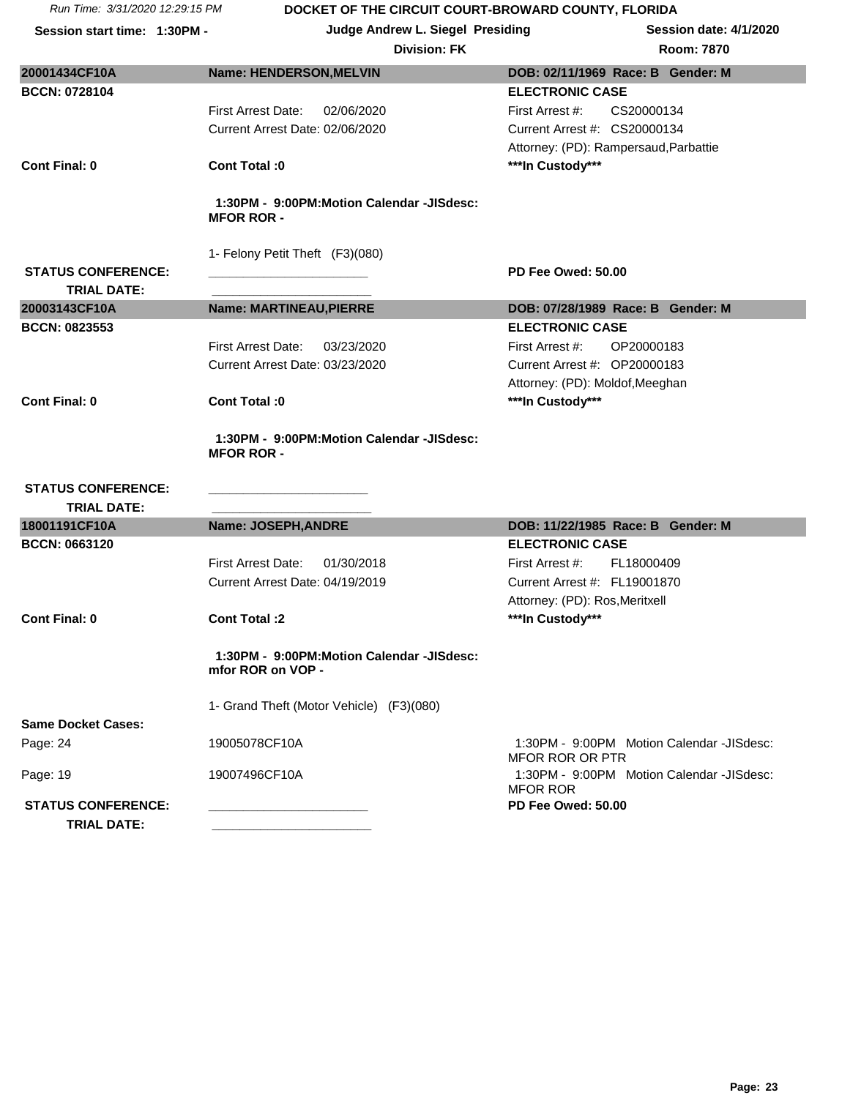|  | Run Time: 3/31/2020 12:29:15 PM |
|--|---------------------------------|

| Session start time: 1:30PM - | Judge Andrew L. Siegel Presiding                               |                                                              | <b>Session date: 4/1/2020</b> |
|------------------------------|----------------------------------------------------------------|--------------------------------------------------------------|-------------------------------|
|                              | <b>Division: FK</b>                                            |                                                              | Room: 7870                    |
| 20001434CF10A                | <b>Name: HENDERSON, MELVIN</b>                                 | DOB: 02/11/1969 Race: B Gender: M                            |                               |
| <b>BCCN: 0728104</b>         |                                                                | <b>ELECTRONIC CASE</b>                                       |                               |
|                              | <b>First Arrest Date:</b><br>02/06/2020                        | CS20000134<br>First Arrest #:                                |                               |
|                              | Current Arrest Date: 02/06/2020                                | Current Arrest #: CS20000134                                 |                               |
|                              |                                                                | Attorney: (PD): Rampersaud, Parbattie                        |                               |
| <b>Cont Final: 0</b>         | Cont Total: 0                                                  | ***In Custody***                                             |                               |
|                              | 1:30PM - 9:00PM:Motion Calendar -JISdesc:<br><b>MFOR ROR -</b> |                                                              |                               |
|                              | 1- Felony Petit Theft (F3)(080)                                |                                                              |                               |
| <b>STATUS CONFERENCE:</b>    |                                                                | PD Fee Owed: 50.00                                           |                               |
| <b>TRIAL DATE:</b>           |                                                                |                                                              |                               |
| 20003143CF10A                | <b>Name: MARTINEAU, PIERRE</b>                                 | DOB: 07/28/1989 Race: B Gender: M                            |                               |
| <b>BCCN: 0823553</b>         |                                                                | <b>ELECTRONIC CASE</b>                                       |                               |
|                              | <b>First Arrest Date:</b><br>03/23/2020                        | First Arrest #:<br>OP20000183                                |                               |
|                              | Current Arrest Date: 03/23/2020                                | Current Arrest #: OP20000183                                 |                               |
|                              |                                                                | Attorney: (PD): Moldof, Meeghan                              |                               |
| Cont Final: 0                | Cont Total: 0                                                  | ***In Custody***                                             |                               |
|                              | 1:30PM - 9:00PM:Motion Calendar -JISdesc:<br><b>MFOR ROR -</b> |                                                              |                               |
| <b>STATUS CONFERENCE:</b>    |                                                                |                                                              |                               |
| <b>TRIAL DATE:</b>           |                                                                |                                                              |                               |
| 18001191CF10A                | Name: JOSEPH, ANDRE                                            | DOB: 11/22/1985 Race: B Gender: M                            |                               |
| <b>BCCN: 0663120</b>         | <b>First Arrest Date:</b><br>01/30/2018                        | <b>ELECTRONIC CASE</b><br>First Arrest #:<br>FL18000409      |                               |
|                              | Current Arrest Date: 04/19/2019                                | Current Arrest #: FL19001870                                 |                               |
|                              |                                                                | Attorney: (PD): Ros, Meritxell                               |                               |
| <b>Cont Final: 0</b>         | <b>Cont Total:2</b>                                            | ***In Custody***                                             |                               |
|                              |                                                                |                                                              |                               |
|                              | 1:30PM - 9:00PM:Motion Calendar -JISdesc:<br>mfor ROR on VOP - |                                                              |                               |
|                              | 1- Grand Theft (Motor Vehicle) (F3)(080)                       |                                                              |                               |
| <b>Same Docket Cases:</b>    |                                                                |                                                              |                               |
| Page: 24                     | 19005078CF10A                                                  | 1:30PM - 9:00PM Motion Calendar -JISdesc:<br>MFOR ROR OR PTR |                               |
| Page: 19                     | 19007496CF10A                                                  | 1:30PM - 9:00PM Motion Calendar -JISdesc:<br><b>MFOR ROR</b> |                               |
| <b>STATUS CONFERENCE:</b>    |                                                                | PD Fee Owed: 50.00                                           |                               |
| <b>TRIAL DATE:</b>           |                                                                |                                                              |                               |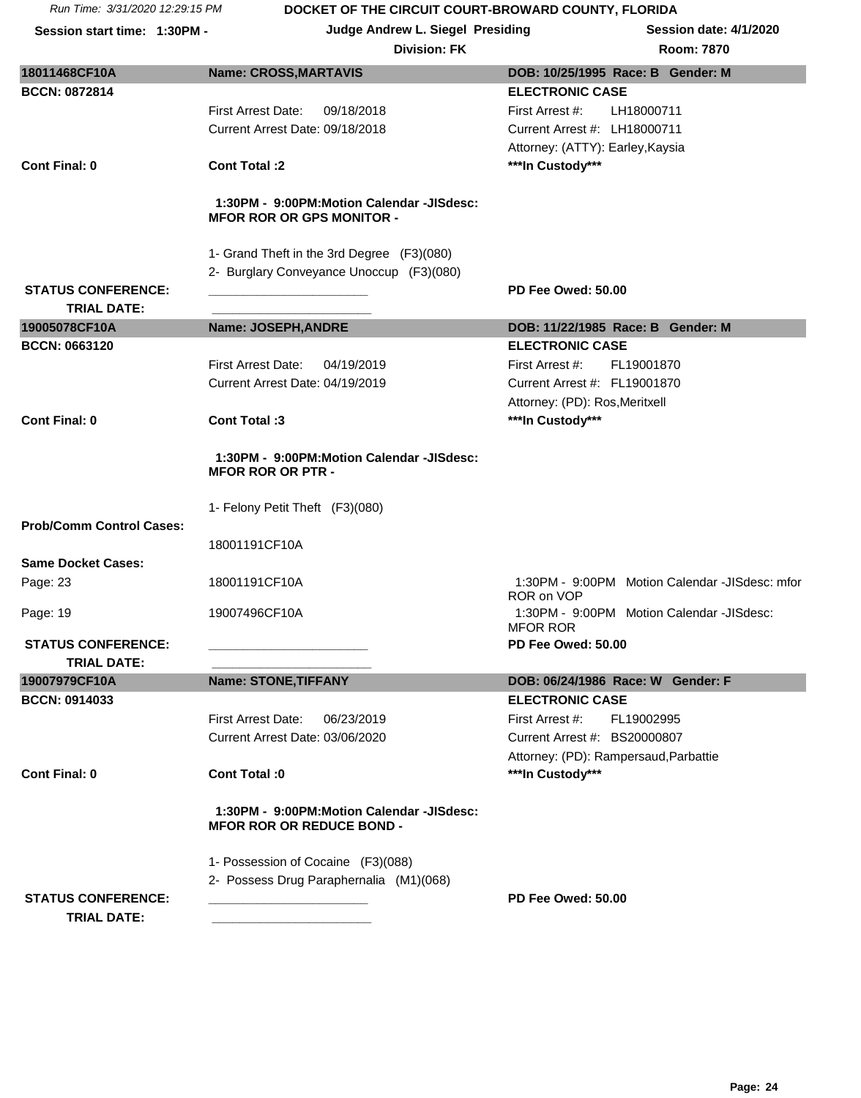|                                 | <b>Division: FK</b>                                                           | <b>Room: 7870</b>                                            |
|---------------------------------|-------------------------------------------------------------------------------|--------------------------------------------------------------|
| 18011468CF10A                   | <b>Name: CROSS, MARTAVIS</b>                                                  | DOB: 10/25/1995 Race: B Gender: M                            |
| <b>BCCN: 0872814</b>            |                                                                               | <b>ELECTRONIC CASE</b>                                       |
|                                 | 09/18/2018<br>First Arrest Date:                                              | First Arrest #:<br>LH18000711                                |
|                                 | Current Arrest Date: 09/18/2018                                               | Current Arrest #: LH18000711                                 |
|                                 |                                                                               | Attorney: (ATTY): Earley, Kaysia                             |
| <b>Cont Final: 0</b>            | Cont Total :2                                                                 | ***In Custody***                                             |
|                                 | 1:30PM - 9:00PM:Motion Calendar -JISdesc:<br><b>MFOR ROR OR GPS MONITOR -</b> |                                                              |
|                                 | 1- Grand Theft in the 3rd Degree (F3)(080)                                    |                                                              |
|                                 | 2- Burglary Conveyance Unoccup (F3)(080)                                      |                                                              |
| <b>STATUS CONFERENCE:</b>       |                                                                               | PD Fee Owed: 50.00                                           |
| <b>TRIAL DATE:</b>              |                                                                               |                                                              |
| 19005078CF10A                   | Name: JOSEPH, ANDRE                                                           | DOB: 11/22/1985 Race: B Gender: M                            |
| <b>BCCN: 0663120</b>            |                                                                               | <b>ELECTRONIC CASE</b>                                       |
|                                 | First Arrest Date:<br>04/19/2019                                              | First Arrest #:<br>FL19001870                                |
|                                 | Current Arrest Date: 04/19/2019                                               | Current Arrest #: FL19001870                                 |
|                                 |                                                                               | Attorney: (PD): Ros, Meritxell                               |
| <b>Cont Final: 0</b>            | Cont Total: 3                                                                 | ***In Custody***                                             |
|                                 | 1:30PM - 9:00PM:Motion Calendar -JISdesc:<br><b>MFOR ROR OR PTR -</b>         |                                                              |
|                                 | 1- Felony Petit Theft (F3)(080)                                               |                                                              |
| <b>Prob/Comm Control Cases:</b> |                                                                               |                                                              |
|                                 | 18001191CF10A                                                                 |                                                              |
| <b>Same Docket Cases:</b>       |                                                                               |                                                              |
| Page: 23                        | 18001191CF10A                                                                 | 1:30PM - 9:00PM Motion Calendar -JISdesc: mfor<br>ROR on VOP |
| Page: 19                        | 19007496CF10A                                                                 | 1:30PM - 9:00PM Motion Calendar -JISdesc:<br><b>MFOR ROR</b> |
| <b>STATUS CONFERENCE:</b>       |                                                                               | PD Fee Owed: 50.00                                           |
| <b>TRIAL DATE:</b>              |                                                                               |                                                              |
| 19007979CF10A                   | <b>Name: STONE, TIFFANY</b>                                                   | DOB: 06/24/1986 Race: W Gender: F                            |
| <b>BCCN: 0914033</b>            |                                                                               | <b>ELECTRONIC CASE</b>                                       |
|                                 | <b>First Arrest Date:</b><br>06/23/2019                                       | First Arrest #:<br>FL19002995                                |
|                                 | Current Arrest Date: 03/06/2020                                               | Current Arrest #: BS20000807                                 |
|                                 |                                                                               | Attorney: (PD): Rampersaud, Parbattie                        |
| <b>Cont Final: 0</b>            | Cont Total :0                                                                 | ***In Custody***                                             |
|                                 | 1:30PM - 9:00PM:Motion Calendar -JISdesc:<br><b>MFOR ROR OR REDUCE BOND -</b> |                                                              |
|                                 | 1- Possession of Cocaine (F3)(088)                                            |                                                              |
|                                 | 2- Possess Drug Paraphernalia (M1)(068)                                       |                                                              |
| <b>STATUS CONFERENCE:</b>       |                                                                               | PD Fee Owed: 50.00                                           |
| <b>TRIAL DATE:</b>              |                                                                               |                                                              |
|                                 |                                                                               |                                                              |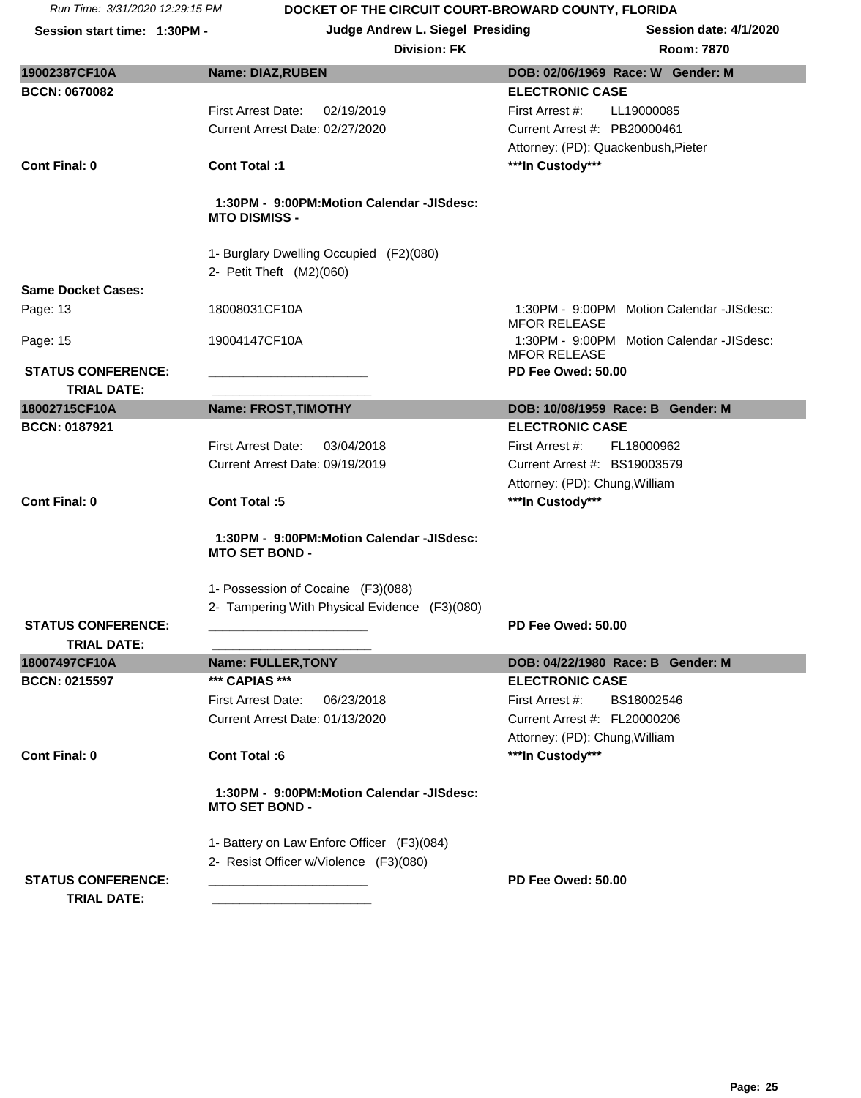**Session start time: 1:30PM - Judge Andrew L. Siegel Presiding Session date: 4/1/2020**

#### **Division: FK Room: 7870**

| 19002387CF10A             | <b>Name: DIAZ, RUBEN</b>                                           | DOB: 02/06/1969 Race: W Gender: M                                |
|---------------------------|--------------------------------------------------------------------|------------------------------------------------------------------|
| <b>BCCN: 0670082</b>      |                                                                    | <b>ELECTRONIC CASE</b>                                           |
|                           | <b>First Arrest Date:</b><br>02/19/2019                            | First Arrest #:<br>LL19000085                                    |
|                           | Current Arrest Date: 02/27/2020                                    | Current Arrest #: PB20000461                                     |
|                           |                                                                    |                                                                  |
|                           |                                                                    | Attorney: (PD): Quackenbush, Pieter                              |
| <b>Cont Final: 0</b>      | Cont Total:1                                                       | ***In Custody***                                                 |
|                           | 1:30PM - 9:00PM:Motion Calendar -JISdesc:<br><b>MTO DISMISS -</b>  |                                                                  |
|                           | 1- Burglary Dwelling Occupied (F2)(080)                            |                                                                  |
|                           | 2- Petit Theft (M2)(060)                                           |                                                                  |
| <b>Same Docket Cases:</b> |                                                                    |                                                                  |
|                           | 18008031CF10A                                                      | 1:30PM - 9:00PM Motion Calendar -JISdesc:                        |
| Page: 13                  |                                                                    | <b>MFOR RELEASE</b>                                              |
| Page: 15                  | 19004147CF10A                                                      | 1:30PM - 9:00PM Motion Calendar -JISdesc:<br><b>MFOR RELEASE</b> |
| <b>STATUS CONFERENCE:</b> |                                                                    | PD Fee Owed: 50.00                                               |
| <b>TRIAL DATE:</b>        |                                                                    |                                                                  |
| 18002715CF10A             | <b>Name: FROST, TIMOTHY</b>                                        | DOB: 10/08/1959 Race: B Gender: M                                |
| <b>BCCN: 0187921</b>      |                                                                    | <b>ELECTRONIC CASE</b>                                           |
|                           | <b>First Arrest Date:</b><br>03/04/2018                            | First Arrest #:<br>FL18000962                                    |
|                           | Current Arrest Date: 09/19/2019                                    | Current Arrest #: BS19003579                                     |
|                           |                                                                    | Attorney: (PD): Chung, William                                   |
| <b>Cont Final: 0</b>      | <b>Cont Total:5</b>                                                | ***In Custody***                                                 |
|                           | 1:30PM - 9:00PM:Motion Calendar -JISdesc:<br><b>MTO SET BOND -</b> |                                                                  |
|                           | 1- Possession of Cocaine (F3)(088)                                 |                                                                  |
|                           | 2- Tampering With Physical Evidence (F3)(080)                      |                                                                  |
| <b>STATUS CONFERENCE:</b> |                                                                    | PD Fee Owed: 50.00                                               |
| <b>TRIAL DATE:</b>        |                                                                    |                                                                  |
| 18007497CF10A             | <b>Name: FULLER, TONY</b>                                          | DOB: 04/22/1980 Race: B Gender: M                                |
| <b>BCCN: 0215597</b>      | *** CAPIAS ***                                                     | <b>ELECTRONIC CASE</b>                                           |
|                           | <b>First Arrest Date:</b><br>06/23/2018                            | First Arrest #:<br>BS18002546                                    |
|                           | Current Arrest Date: 01/13/2020                                    | Current Arrest #: FL20000206                                     |
|                           |                                                                    | Attorney: (PD): Chung, William                                   |
| <b>Cont Final: 0</b>      | Cont Total:6                                                       | ***In Custody***                                                 |
|                           | 1:30PM - 9:00PM:Motion Calendar -JISdesc:<br><b>MTO SET BOND -</b> |                                                                  |
|                           | 1- Battery on Law Enforc Officer (F3)(084)                         |                                                                  |
|                           | 2- Resist Officer w/Violence (F3)(080)                             |                                                                  |
| <b>STATUS CONFERENCE:</b> |                                                                    | PD Fee Owed: 50.00                                               |
|                           |                                                                    |                                                                  |
| <b>TRIAL DATE:</b>        |                                                                    |                                                                  |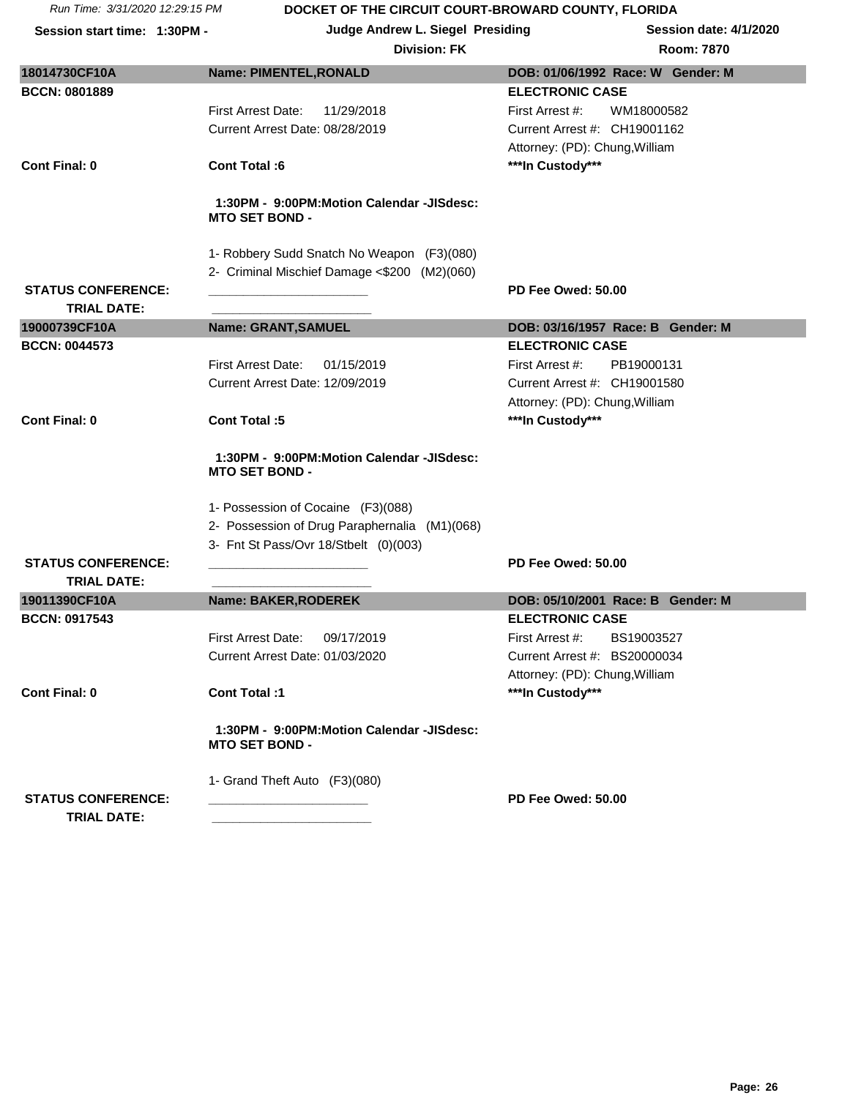| Session start time: 1:30PM - | Judge Andrew L. Siegel Presiding                                   | <b>Session date: 4/1/2020</b>     |
|------------------------------|--------------------------------------------------------------------|-----------------------------------|
|                              | <b>Division: FK</b>                                                | Room: 7870                        |
| 18014730CF10A                | <b>Name: PIMENTEL, RONALD</b>                                      | DOB: 01/06/1992 Race: W Gender: M |
| <b>BCCN: 0801889</b>         |                                                                    | <b>ELECTRONIC CASE</b>            |
|                              | <b>First Arrest Date:</b><br>11/29/2018                            | WM18000582<br>First Arrest #:     |
|                              | Current Arrest Date: 08/28/2019                                    | Current Arrest #: CH19001162      |
|                              |                                                                    | Attorney: (PD): Chung, William    |
| <b>Cont Final: 0</b>         | <b>Cont Total:6</b>                                                | ***In Custody***                  |
|                              | 1:30PM - 9:00PM:Motion Calendar -JISdesc:<br><b>MTO SET BOND -</b> |                                   |
|                              | 1- Robbery Sudd Snatch No Weapon (F3)(080)                         |                                   |
|                              | 2- Criminal Mischief Damage <\$200 (M2)(060)                       |                                   |
| <b>STATUS CONFERENCE:</b>    |                                                                    | <b>PD Fee Owed: 50.00</b>         |
| <b>TRIAL DATE:</b>           |                                                                    |                                   |
| 19000739CF10A                | Name: GRANT, SAMUEL                                                | DOB: 03/16/1957 Race: B Gender: M |
| <b>BCCN: 0044573</b>         |                                                                    | <b>ELECTRONIC CASE</b>            |
|                              | First Arrest Date:<br>01/15/2019                                   | First Arrest #:<br>PB19000131     |
|                              | Current Arrest Date: 12/09/2019                                    | Current Arrest #: CH19001580      |
|                              |                                                                    | Attorney: (PD): Chung, William    |
| <b>Cont Final: 0</b>         | <b>Cont Total:5</b>                                                | ***In Custody***                  |
|                              | 1:30PM - 9:00PM:Motion Calendar -JISdesc:<br><b>MTO SET BOND -</b> |                                   |
|                              | 1- Possession of Cocaine (F3)(088)                                 |                                   |
|                              | 2- Possession of Drug Paraphernalia (M1)(068)                      |                                   |
|                              | 3- Fnt St Pass/Ovr 18/Stbelt (0)(003)                              |                                   |
| <b>STATUS CONFERENCE:</b>    |                                                                    | PD Fee Owed: 50.00                |
| <b>TRIAL DATE:</b>           |                                                                    |                                   |
| 19011390CF10A                | Name: BAKER, RODEREK                                               | DOB: 05/10/2001 Race: B Gender: M |
| <b>BCCN: 0917543</b>         |                                                                    | <b>ELECTRONIC CASE</b>            |
|                              | First Arrest Date:<br>09/17/2019                                   | First Arrest #:<br>BS19003527     |
|                              | Current Arrest Date: 01/03/2020                                    | Current Arrest #: BS20000034      |
|                              |                                                                    | Attorney: (PD): Chung, William    |
| <b>Cont Final: 0</b>         | Cont Total :1                                                      | ***In Custody***                  |
|                              | 1:30PM - 9:00PM:Motion Calendar -JISdesc:<br><b>MTO SET BOND -</b> |                                   |
|                              | 1- Grand Theft Auto (F3)(080)                                      |                                   |
| <b>STATUS CONFERENCE:</b>    |                                                                    | PD Fee Owed: 50.00                |
| <b>TRIAL DATE:</b>           |                                                                    |                                   |
|                              |                                                                    |                                   |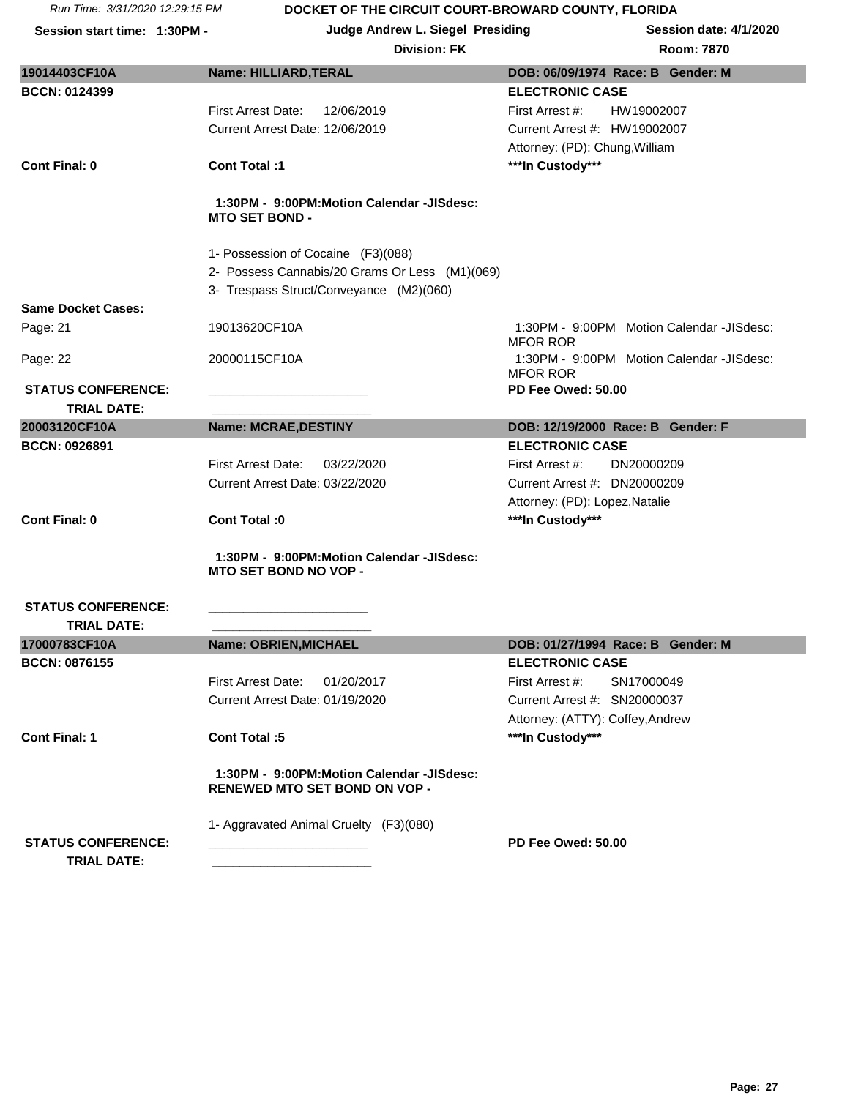**Session start time: 1:30PM - Judge Andrew L. Siegel Presiding Session date: 4/1/2020**

#### **Division: FK**

| 19014403CF10A                                   | Name: HILLIARD, TERAL                                                                | DOB: 06/09/1974 Race: B Gender: M                            |
|-------------------------------------------------|--------------------------------------------------------------------------------------|--------------------------------------------------------------|
| <b>BCCN: 0124399</b>                            |                                                                                      | <b>ELECTRONIC CASE</b>                                       |
|                                                 | <b>First Arrest Date:</b><br>12/06/2019                                              | First Arrest #:<br>HW19002007                                |
|                                                 | Current Arrest Date: 12/06/2019                                                      | Current Arrest #: HW19002007                                 |
|                                                 |                                                                                      | Attorney: (PD): Chung, William                               |
| <b>Cont Final: 0</b>                            | <b>Cont Total:1</b>                                                                  | ***In Custody***                                             |
|                                                 | 1:30PM - 9:00PM:Motion Calendar -JISdesc:<br><b>MTO SET BOND -</b>                   |                                                              |
|                                                 | 1- Possession of Cocaine (F3)(088)<br>2- Possess Cannabis/20 Grams Or Less (M1)(069) |                                                              |
| <b>Same Docket Cases:</b>                       | 3- Trespass Struct/Conveyance (M2)(060)                                              |                                                              |
| Page: 21                                        | 19013620CF10A                                                                        | 1:30PM - 9:00PM Motion Calendar -JISdesc:<br><b>MFOR ROR</b> |
| Page: 22                                        | 20000115CF10A                                                                        | 1:30PM - 9:00PM Motion Calendar -JISdesc:<br><b>MFOR ROR</b> |
| <b>STATUS CONFERENCE:</b>                       |                                                                                      | PD Fee Owed: 50.00                                           |
| <b>TRIAL DATE:</b>                              |                                                                                      |                                                              |
| 20003120CF10A                                   | <b>Name: MCRAE, DESTINY</b>                                                          | DOB: 12/19/2000 Race: B Gender: F                            |
| <b>BCCN: 0926891</b>                            |                                                                                      | <b>ELECTRONIC CASE</b>                                       |
|                                                 | First Arrest Date:<br>03/22/2020                                                     | First Arrest #:<br>DN20000209                                |
|                                                 | Current Arrest Date: 03/22/2020                                                      | Current Arrest #: DN20000209                                 |
|                                                 |                                                                                      | Attorney: (PD): Lopez, Natalie                               |
| <b>Cont Final: 0</b>                            | Cont Total: 0                                                                        | ***In Custody***                                             |
|                                                 | 1:30PM - 9:00PM:Motion Calendar -JISdesc:<br><b>MTO SET BOND NO VOP -</b>            |                                                              |
| <b>STATUS CONFERENCE:</b><br><b>TRIAL DATE:</b> |                                                                                      |                                                              |
| 17000783CF10A                                   | Name: OBRIEN, MICHAEL                                                                | DOB: 01/27/1994 Race: B Gender: M                            |
| <b>BCCN: 0876155</b>                            |                                                                                      | <b>ELECTRONIC CASE</b>                                       |
|                                                 | First Arrest Date:<br>01/20/2017                                                     | First Arrest #:<br>SN17000049                                |
|                                                 | Current Arrest Date: 01/19/2020                                                      | Current Arrest #: SN20000037                                 |
|                                                 |                                                                                      | Attorney: (ATTY): Coffey, Andrew                             |
| <b>Cont Final: 1</b>                            | Cont Total:5                                                                         | ***In Custody***                                             |
|                                                 | 1:30PM - 9:00PM:Motion Calendar -JISdesc:<br><b>RENEWED MTO SET BOND ON VOP -</b>    |                                                              |
| <b>STATUS CONFERENCE:</b>                       | 1- Aggravated Animal Cruelty (F3)(080)                                               | PD Fee Owed: 50.00                                           |
| <b>TRIAL DATE:</b>                              |                                                                                      |                                                              |